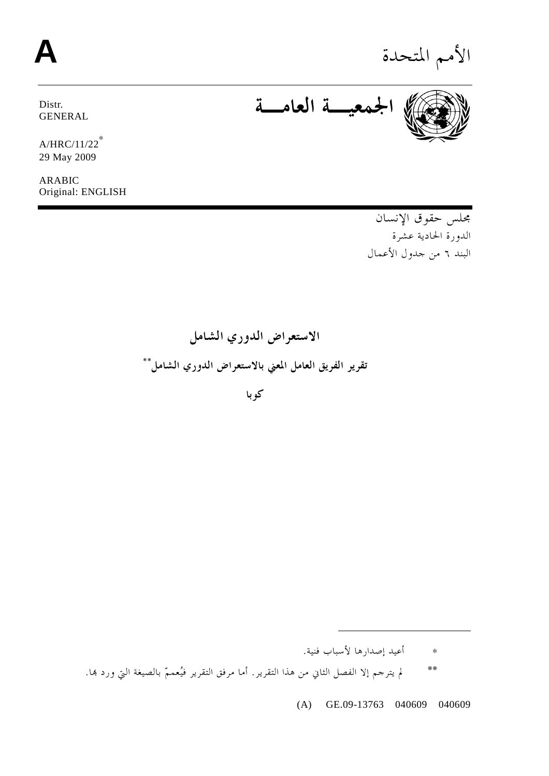# الأمم المتحدة **A**

Distr. GENERAL **الجمعيـة العامـة**

A/HRC/11/22<sup>∗</sup> 29 May 2009

ARABIC Original: ENGLISH

> مجلس حقوق الإنسان الدورة الحادية عشرة البند ٦ من جدول الأعمال

**الاستعراض الدوري الشامل** \*\* **تقرير الفريق العامل المعني بالاستعراض الدوري الشامل**

**كوبا** 

∗ أعيد إصدارها لأسباب فنية.

 $\ddot{\phantom{a}}$ 

\*\* لم يترجم إلا الفصل الثاني من هذا التقرير. أما مرفق التقرير فيُعممّ بالصيغة التي ورد هبا.

(A) GE.09-13763 040609 040609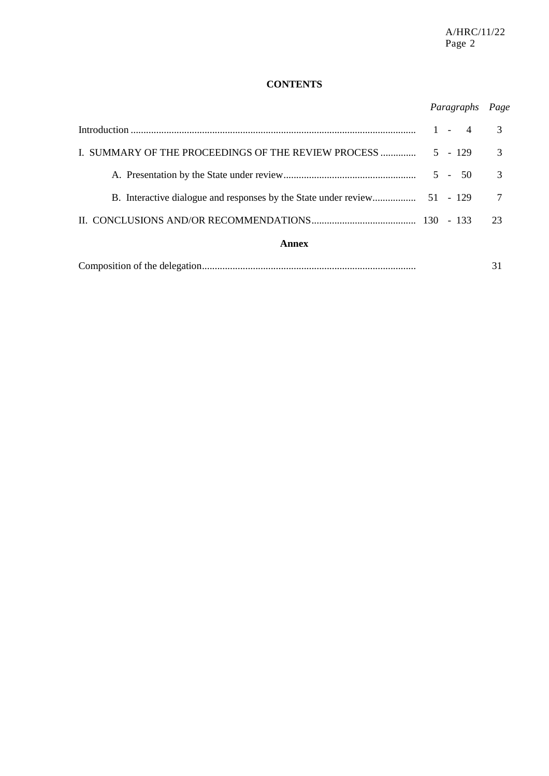# **CONTENTS**

# *Paragraphs Page*

|                                                     |  |           |  | 3             |
|-----------------------------------------------------|--|-----------|--|---------------|
| I. SUMMARY OF THE PROCEEDINGS OF THE REVIEW PROCESS |  | $5 - 129$ |  | 3             |
|                                                     |  | $5 - 50$  |  | $\mathcal{R}$ |
|                                                     |  |           |  |               |
|                                                     |  |           |  | 23.           |
| Annex                                               |  |           |  |               |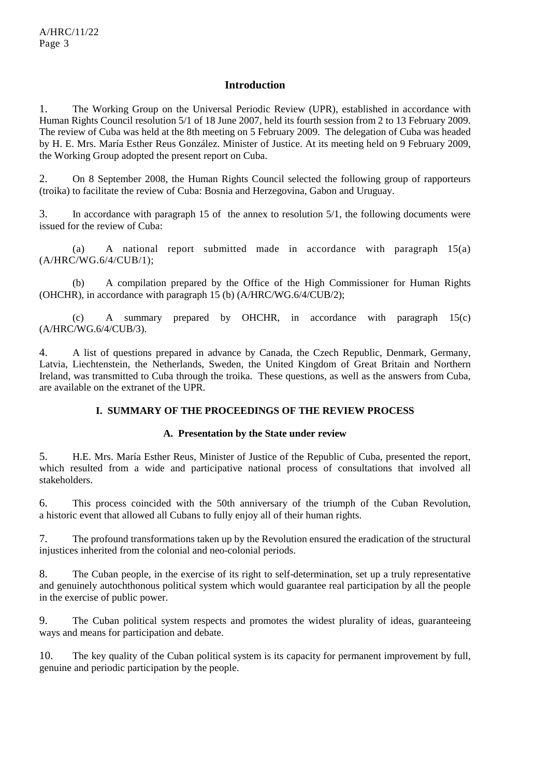# **Introduction**

1. The Working Group on the Universal Periodic Review (UPR), established in accordance with Human Rights Council resolution 5/1 of 18 June 2007, held its fourth session from 2 to 13 February 2009. The review of Cuba was held at the 8th meeting on 5 February 2009. The delegation of Cuba was headed by H. E. Mrs. María Esther Reus González. Minister of Justice. At its meeting held on 9 February 2009, the Working Group adopted the present report on Cuba.

2. On 8 September 2008, the Human Rights Council selected the following group of rapporteurs (troika) to facilitate the review of Cuba: Bosnia and Herzegovina, Gabon and Uruguay.

3. In accordance with paragraph 15 of the annex to resolution 5/1, the following documents were issued for the review of Cuba:

 (a) A national report submitted made in accordance with paragraph 15(a) (A/HRC/WG.6/4/CUB/1);

 (b) A compilation prepared by the Office of the High Commissioner for Human Rights (OHCHR), in accordance with paragraph 15 (b) (A/HRC/WG.6/4/CUB/2);

 (c) A summary prepared by OHCHR, in accordance with paragraph 15(c) (A/HRC/WG.6/4/CUB/3).

4. A list of questions prepared in advance by Canada, the Czech Republic, Denmark, Germany, Latvia, Liechtenstein, the Netherlands, Sweden, the United Kingdom of Great Britain and Northern Ireland, was transmitted to Cuba through the troika. These questions, as well as the answers from Cuba, are available on the extranet of the UPR.

## **I. SUMMARY OF THE PROCEEDINGS OF THE REVIEW PROCESS**

#### **A. Presentation by the State under review**

5. H.E. Mrs. María Esther Reus, Minister of Justice of the Republic of Cuba, presented the report, which resulted from a wide and participative national process of consultations that involved all stakeholders.

6. This process coincided with the 50th anniversary of the triumph of the Cuban Revolution, a historic event that allowed all Cubans to fully enjoy all of their human rights.

7. The profound transformations taken up by the Revolution ensured the eradication of the structural injustices inherited from the colonial and neo-colonial periods.

8. The Cuban people, in the exercise of its right to self-determination, set up a truly representative and genuinely autochthonous political system which would guarantee real participation by all the people in the exercise of public power.

9. The Cuban political system respects and promotes the widest plurality of ideas, guaranteeing ways and means for participation and debate.

10. The key quality of the Cuban political system is its capacity for permanent improvement by full, genuine and periodic participation by the people.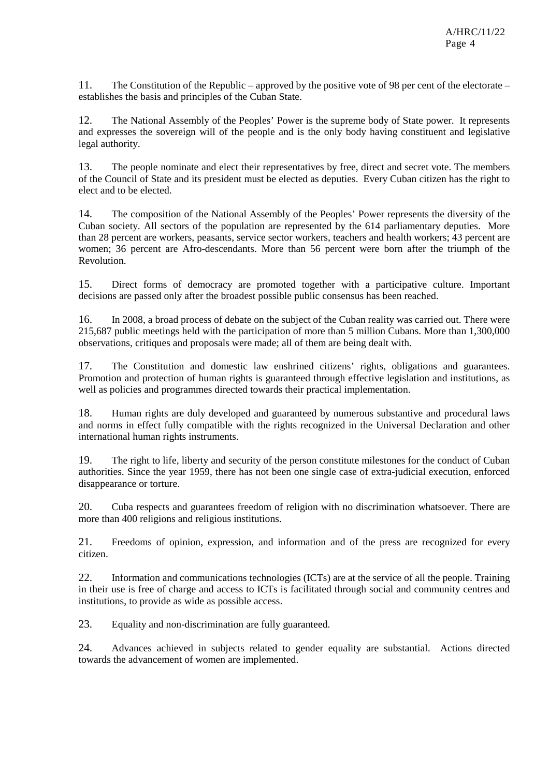11. The Constitution of the Republic – approved by the positive vote of 98 per cent of the electorate – establishes the basis and principles of the Cuban State.

12. The National Assembly of the Peoples' Power is the supreme body of State power. It represents and expresses the sovereign will of the people and is the only body having constituent and legislative legal authority.

13. The people nominate and elect their representatives by free, direct and secret vote. The members of the Council of State and its president must be elected as deputies. Every Cuban citizen has the right to elect and to be elected.

14. The composition of the National Assembly of the Peoples' Power represents the diversity of the Cuban society. All sectors of the population are represented by the 614 parliamentary deputies. More than 28 percent are workers, peasants, service sector workers, teachers and health workers; 43 percent are women; 36 percent are Afro-descendants. More than 56 percent were born after the triumph of the Revolution.

15. Direct forms of democracy are promoted together with a participative culture. Important decisions are passed only after the broadest possible public consensus has been reached.

16. In 2008, a broad process of debate on the subject of the Cuban reality was carried out. There were 215,687 public meetings held with the participation of more than 5 million Cubans. More than 1,300,000 observations, critiques and proposals were made; all of them are being dealt with.

17. The Constitution and domestic law enshrined citizens' rights, obligations and guarantees. Promotion and protection of human rights is guaranteed through effective legislation and institutions, as well as policies and programmes directed towards their practical implementation.

18. Human rights are duly developed and guaranteed by numerous substantive and procedural laws and norms in effect fully compatible with the rights recognized in the Universal Declaration and other international human rights instruments.

19. The right to life, liberty and security of the person constitute milestones for the conduct of Cuban authorities. Since the year 1959, there has not been one single case of extra-judicial execution, enforced disappearance or torture.

20. Cuba respects and guarantees freedom of religion with no discrimination whatsoever. There are more than 400 religions and religious institutions.

21. Freedoms of opinion, expression, and information and of the press are recognized for every citizen.

22. Information and communications technologies (ICTs) are at the service of all the people. Training in their use is free of charge and access to ICTs is facilitated through social and community centres and institutions, to provide as wide as possible access.

23. Equality and non-discrimination are fully guaranteed.

24. Advances achieved in subjects related to gender equality are substantial. Actions directed towards the advancement of women are implemented.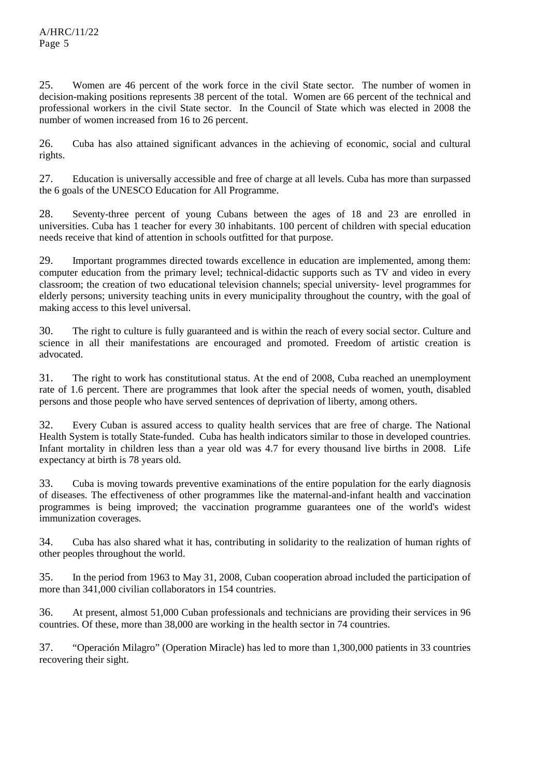25. Women are 46 percent of the work force in the civil State sector. The number of women in decision-making positions represents 38 percent of the total. Women are 66 percent of the technical and professional workers in the civil State sector. In the Council of State which was elected in 2008 the number of women increased from 16 to 26 percent.

26. Cuba has also attained significant advances in the achieving of economic, social and cultural rights.

27. Education is universally accessible and free of charge at all levels. Cuba has more than surpassed the 6 goals of the UNESCO Education for All Programme.

28. Seventy-three percent of young Cubans between the ages of 18 and 23 are enrolled in universities. Cuba has 1 teacher for every 30 inhabitants. 100 percent of children with special education needs receive that kind of attention in schools outfitted for that purpose.

29. Important programmes directed towards excellence in education are implemented, among them: computer education from the primary level; technical-didactic supports such as TV and video in every classroom; the creation of two educational television channels; special university- level programmes for elderly persons; university teaching units in every municipality throughout the country, with the goal of making access to this level universal.

30. The right to culture is fully guaranteed and is within the reach of every social sector. Culture and science in all their manifestations are encouraged and promoted. Freedom of artistic creation is advocated.

31. The right to work has constitutional status. At the end of 2008, Cuba reached an unemployment rate of 1.6 percent. There are programmes that look after the special needs of women, youth, disabled persons and those people who have served sentences of deprivation of liberty, among others.

32. Every Cuban is assured access to quality health services that are free of charge. The National Health System is totally State-funded. Cuba has health indicators similar to those in developed countries. Infant mortality in children less than a year old was 4.7 for every thousand live births in 2008. Life expectancy at birth is 78 years old.

33. Cuba is moving towards preventive examinations of the entire population for the early diagnosis of diseases. The effectiveness of other programmes like the maternal-and-infant health and vaccination programmes is being improved; the vaccination programme guarantees one of the world's widest immunization coverages.

34. Cuba has also shared what it has, contributing in solidarity to the realization of human rights of other peoples throughout the world.

35. In the period from 1963 to May 31, 2008, Cuban cooperation abroad included the participation of more than 341,000 civilian collaborators in 154 countries.

36. At present, almost 51,000 Cuban professionals and technicians are providing their services in 96 countries. Of these, more than 38,000 are working in the health sector in 74 countries.

37. "Operación Milagro" (Operation Miracle) has led to more than 1,300,000 patients in 33 countries recovering their sight.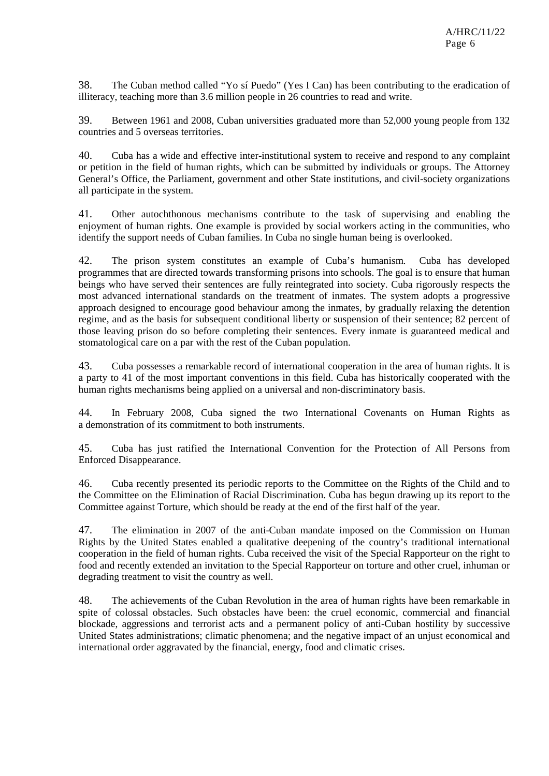38. The Cuban method called "Yo sí Puedo" (Yes I Can) has been contributing to the eradication of illiteracy, teaching more than 3.6 million people in 26 countries to read and write.

39. Between 1961 and 2008, Cuban universities graduated more than 52,000 young people from 132 countries and 5 overseas territories.

40. Cuba has a wide and effective inter-institutional system to receive and respond to any complaint or petition in the field of human rights, which can be submitted by individuals or groups. The Attorney General's Office, the Parliament, government and other State institutions, and civil-society organizations all participate in the system.

41. Other autochthonous mechanisms contribute to the task of supervising and enabling the enjoyment of human rights. One example is provided by social workers acting in the communities, who identify the support needs of Cuban families. In Cuba no single human being is overlooked.

42. The prison system constitutes an example of Cuba's humanism. Cuba has developed programmes that are directed towards transforming prisons into schools. The goal is to ensure that human beings who have served their sentences are fully reintegrated into society. Cuba rigorously respects the most advanced international standards on the treatment of inmates. The system adopts a progressive approach designed to encourage good behaviour among the inmates, by gradually relaxing the detention regime, and as the basis for subsequent conditional liberty or suspension of their sentence; 82 percent of those leaving prison do so before completing their sentences. Every inmate is guaranteed medical and stomatological care on a par with the rest of the Cuban population.

43. Cuba possesses a remarkable record of international cooperation in the area of human rights. It is a party to 41 of the most important conventions in this field. Cuba has historically cooperated with the human rights mechanisms being applied on a universal and non-discriminatory basis.

44. In February 2008, Cuba signed the two International Covenants on Human Rights as a demonstration of its commitment to both instruments.

45. Cuba has just ratified the International Convention for the Protection of All Persons from Enforced Disappearance.

46. Cuba recently presented its periodic reports to the Committee on the Rights of the Child and to the Committee on the Elimination of Racial Discrimination. Cuba has begun drawing up its report to the Committee against Torture, which should be ready at the end of the first half of the year.

47. The elimination in 2007 of the anti-Cuban mandate imposed on the Commission on Human Rights by the United States enabled a qualitative deepening of the country's traditional international cooperation in the field of human rights. Cuba received the visit of the Special Rapporteur on the right to food and recently extended an invitation to the Special Rapporteur on torture and other cruel, inhuman or degrading treatment to visit the country as well.

48. The achievements of the Cuban Revolution in the area of human rights have been remarkable in spite of colossal obstacles. Such obstacles have been: the cruel economic, commercial and financial blockade, aggressions and terrorist acts and a permanent policy of anti-Cuban hostility by successive United States administrations; climatic phenomena; and the negative impact of an unjust economical and international order aggravated by the financial, energy, food and climatic crises.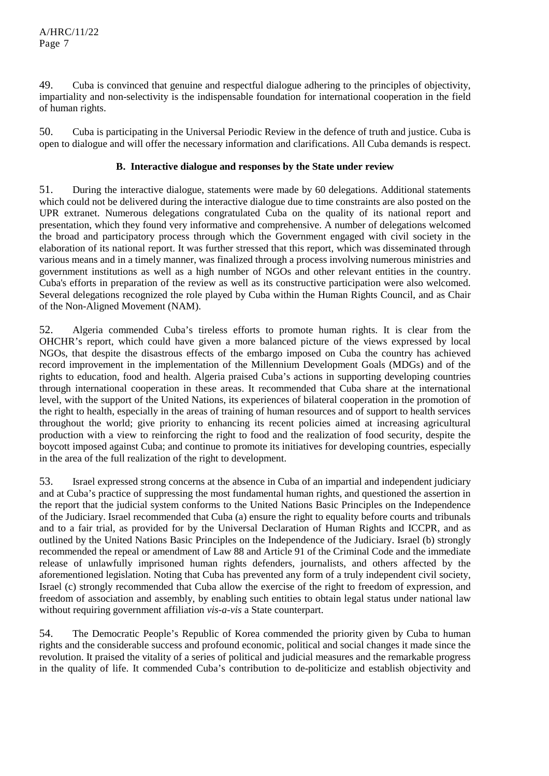49. Cuba is convinced that genuine and respectful dialogue adhering to the principles of objectivity, impartiality and non-selectivity is the indispensable foundation for international cooperation in the field of human rights.

50. Cuba is participating in the Universal Periodic Review in the defence of truth and justice. Cuba is open to dialogue and will offer the necessary information and clarifications. All Cuba demands is respect.

# **B. Interactive dialogue and responses by the State under review**

51. During the interactive dialogue, statements were made by 60 delegations. Additional statements which could not be delivered during the interactive dialogue due to time constraints are also posted on the UPR extranet. Numerous delegations congratulated Cuba on the quality of its national report and presentation, which they found very informative and comprehensive. A number of delegations welcomed the broad and participatory process through which the Government engaged with civil society in the elaboration of its national report. It was further stressed that this report, which was disseminated through various means and in a timely manner, was finalized through a process involving numerous ministries and government institutions as well as a high number of NGOs and other relevant entities in the country. Cuba's efforts in preparation of the review as well as its constructive participation were also welcomed. Several delegations recognized the role played by Cuba within the Human Rights Council, and as Chair of the Non-Aligned Movement (NAM).

52. Algeria commended Cuba's tireless efforts to promote human rights. It is clear from the OHCHR's report, which could have given a more balanced picture of the views expressed by local NGOs, that despite the disastrous effects of the embargo imposed on Cuba the country has achieved record improvement in the implementation of the Millennium Development Goals (MDGs) and of the rights to education, food and health. Algeria praised Cuba's actions in supporting developing countries through international cooperation in these areas. It recommended that Cuba share at the international level, with the support of the United Nations, its experiences of bilateral cooperation in the promotion of the right to health, especially in the areas of training of human resources and of support to health services throughout the world; give priority to enhancing its recent policies aimed at increasing agricultural production with a view to reinforcing the right to food and the realization of food security, despite the boycott imposed against Cuba; and continue to promote its initiatives for developing countries, especially in the area of the full realization of the right to development.

53. Israel expressed strong concerns at the absence in Cuba of an impartial and independent judiciary and at Cuba's practice of suppressing the most fundamental human rights, and questioned the assertion in the report that the judicial system conforms to the United Nations Basic Principles on the Independence of the Judiciary. Israel recommended that Cuba (a) ensure the right to equality before courts and tribunals and to a fair trial, as provided for by the Universal Declaration of Human Rights and ICCPR, and as outlined by the United Nations Basic Principles on the Independence of the Judiciary. Israel (b) strongly recommended the repeal or amendment of Law 88 and Article 91 of the Criminal Code and the immediate release of unlawfully imprisoned human rights defenders, journalists, and others affected by the aforementioned legislation. Noting that Cuba has prevented any form of a truly independent civil society, Israel (c) strongly recommended that Cuba allow the exercise of the right to freedom of expression, and freedom of association and assembly, by enabling such entities to obtain legal status under national law without requiring government affiliation *vis-a-vis* a State counterpart.

54. The Democratic People's Republic of Korea commended the priority given by Cuba to human rights and the considerable success and profound economic, political and social changes it made since the revolution. It praised the vitality of a series of political and judicial measures and the remarkable progress in the quality of life. It commended Cuba's contribution to de-politicize and establish objectivity and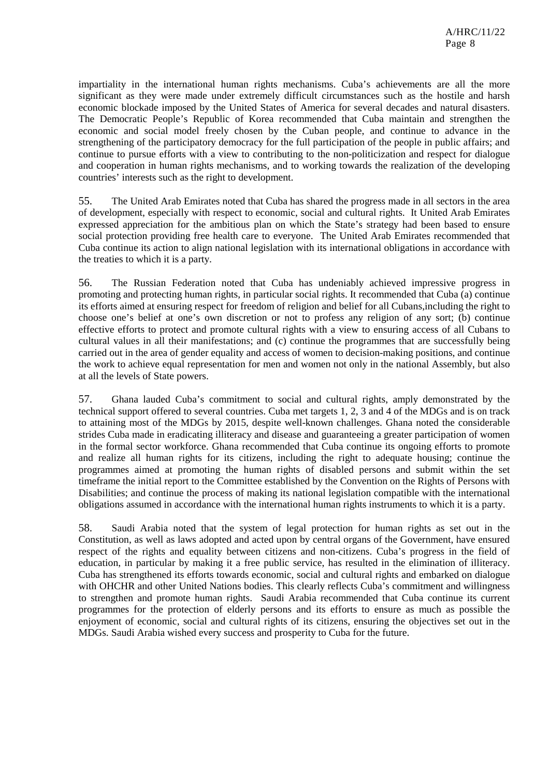impartiality in the international human rights mechanisms. Cuba's achievements are all the more significant as they were made under extremely difficult circumstances such as the hostile and harsh economic blockade imposed by the United States of America for several decades and natural disasters. The Democratic People's Republic of Korea recommended that Cuba maintain and strengthen the economic and social model freely chosen by the Cuban people, and continue to advance in the strengthening of the participatory democracy for the full participation of the people in public affairs; and continue to pursue efforts with a view to contributing to the non-politicization and respect for dialogue and cooperation in human rights mechanisms, and to working towards the realization of the developing countries' interests such as the right to development.

55. The United Arab Emirates noted that Cuba has shared the progress made in all sectors in the area of development, especially with respect to economic, social and cultural rights. It United Arab Emirates expressed appreciation for the ambitious plan on which the State's strategy had been based to ensure social protection providing free health care to everyone. The United Arab Emirates recommended that Cuba continue its action to align national legislation with its international obligations in accordance with the treaties to which it is a party.

56. The Russian Federation noted that Cuba has undeniably achieved impressive progress in promoting and protecting human rights, in particular social rights. It recommended that Cuba (a) continue its efforts aimed at ensuring respect for freedom of religion and belief for all Cubans,including the right to choose one's belief at one's own discretion or not to profess any religion of any sort; (b) continue effective efforts to protect and promote cultural rights with a view to ensuring access of all Cubans to cultural values in all their manifestations; and (c) continue the programmes that are successfully being carried out in the area of gender equality and access of women to decision-making positions, and continue the work to achieve equal representation for men and women not only in the national Assembly, but also at all the levels of State powers.

57. Ghana lauded Cuba's commitment to social and cultural rights, amply demonstrated by the technical support offered to several countries. Cuba met targets 1, 2, 3 and 4 of the MDGs and is on track to attaining most of the MDGs by 2015, despite well-known challenges. Ghana noted the considerable strides Cuba made in eradicating illiteracy and disease and guaranteeing a greater participation of women in the formal sector workforce. Ghana recommended that Cuba continue its ongoing efforts to promote and realize all human rights for its citizens, including the right to adequate housing; continue the programmes aimed at promoting the human rights of disabled persons and submit within the set timeframe the initial report to the Committee established by the Convention on the Rights of Persons with Disabilities; and continue the process of making its national legislation compatible with the international obligations assumed in accordance with the international human rights instruments to which it is a party.

58. Saudi Arabia noted that the system of legal protection for human rights as set out in the Constitution, as well as laws adopted and acted upon by central organs of the Government, have ensured respect of the rights and equality between citizens and non-citizens. Cuba's progress in the field of education, in particular by making it a free public service, has resulted in the elimination of illiteracy. Cuba has strengthened its efforts towards economic, social and cultural rights and embarked on dialogue with OHCHR and other United Nations bodies. This clearly reflects Cuba's commitment and willingness to strengthen and promote human rights. Saudi Arabia recommended that Cuba continue its current programmes for the protection of elderly persons and its efforts to ensure as much as possible the enjoyment of economic, social and cultural rights of its citizens, ensuring the objectives set out in the MDGs. Saudi Arabia wished every success and prosperity to Cuba for the future.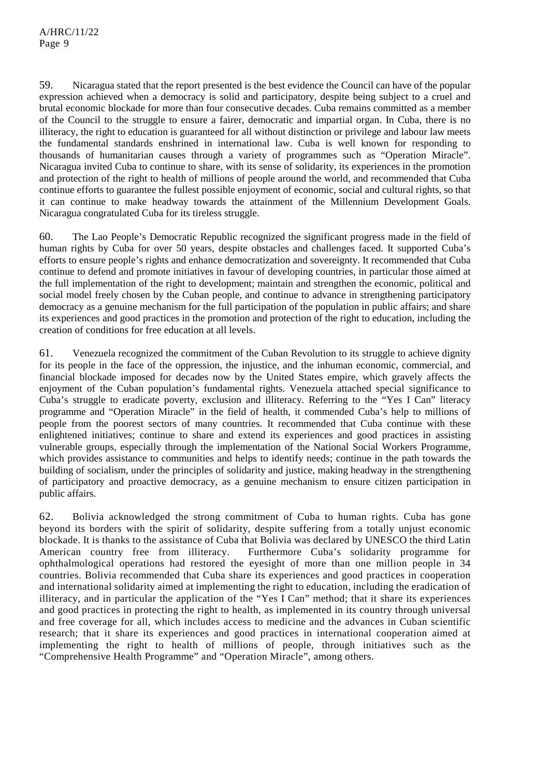59. Nicaragua stated that the report presented is the best evidence the Council can have of the popular expression achieved when a democracy is solid and participatory, despite being subject to a cruel and brutal economic blockade for more than four consecutive decades. Cuba remains committed as a member of the Council to the struggle to ensure a fairer, democratic and impartial organ. In Cuba, there is no illiteracy, the right to education is guaranteed for all without distinction or privilege and labour law meets the fundamental standards enshrined in international law. Cuba is well known for responding to thousands of humanitarian causes through a variety of programmes such as "Operation Miracle". Nicaragua invited Cuba to continue to share, with its sense of solidarity, its experiences in the promotion and protection of the right to health of millions of people around the world, and recommended that Cuba continue efforts to guarantee the fullest possible enjoyment of economic, social and cultural rights, so that it can continue to make headway towards the attainment of the Millennium Development Goals. Nicaragua congratulated Cuba for its tireless struggle.

60. The Lao People's Democratic Republic recognized the significant progress made in the field of human rights by Cuba for over 50 years, despite obstacles and challenges faced. It supported Cuba's efforts to ensure people's rights and enhance democratization and sovereignty. It recommended that Cuba continue to defend and promote initiatives in favour of developing countries, in particular those aimed at the full implementation of the right to development; maintain and strengthen the economic, political and social model freely chosen by the Cuban people, and continue to advance in strengthening participatory democracy as a genuine mechanism for the full participation of the population in public affairs; and share its experiences and good practices in the promotion and protection of the right to education, including the creation of conditions for free education at all levels.

61. Venezuela recognized the commitment of the Cuban Revolution to its struggle to achieve dignity for its people in the face of the oppression, the injustice, and the inhuman economic, commercial, and financial blockade imposed for decades now by the United States empire, which gravely affects the enjoyment of the Cuban population's fundamental rights. Venezuela attached special significance to Cuba's struggle to eradicate poverty, exclusion and illiteracy. Referring to the "Yes I Can" literacy programme and "Operation Miracle" in the field of health, it commended Cuba's help to millions of people from the poorest sectors of many countries. It recommended that Cuba continue with these enlightened initiatives; continue to share and extend its experiences and good practices in assisting vulnerable groups, especially through the implementation of the National Social Workers Programme, which provides assistance to communities and helps to identify needs; continue in the path towards the building of socialism, under the principles of solidarity and justice, making headway in the strengthening of participatory and proactive democracy, as a genuine mechanism to ensure citizen participation in public affairs.

62. Bolivia acknowledged the strong commitment of Cuba to human rights. Cuba has gone beyond its borders with the spirit of solidarity, despite suffering from a totally unjust economic blockade. It is thanks to the assistance of Cuba that Bolivia was declared by UNESCO the third Latin<br>American country free from illiteracy. Furthermore Cuba's solidarity programme for Furthermore Cuba's solidarity programme for ophthalmological operations had restored the eyesight of more than one million people in 34 countries. Bolivia recommended that Cuba share its experiences and good practices in cooperation and international solidarity aimed at implementing the right to education, including the eradication of illiteracy, and in particular the application of the "Yes I Can" method; that it share its experiences and good practices in protecting the right to health, as implemented in its country through universal and free coverage for all, which includes access to medicine and the advances in Cuban scientific research; that it share its experiences and good practices in international cooperation aimed at implementing the right to health of millions of people, through initiatives such as the "Comprehensive Health Programme" and "Operation Miracle", among others.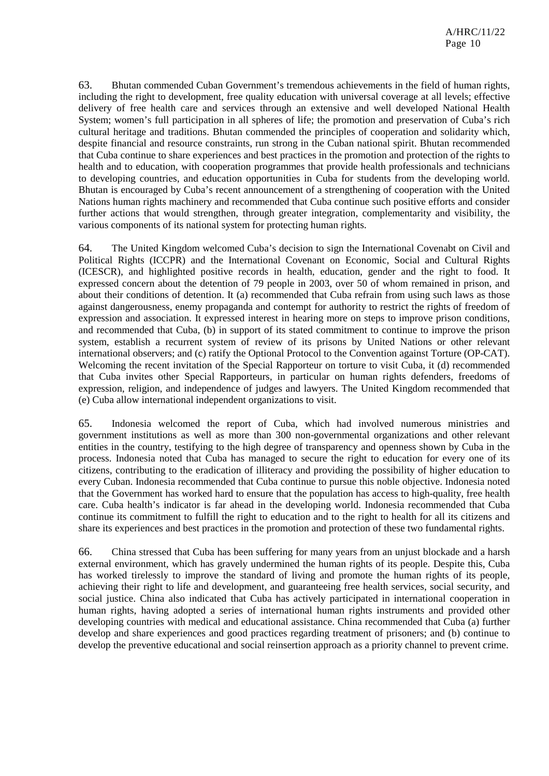63. Bhutan commended Cuban Government's tremendous achievements in the field of human rights, including the right to development, free quality education with universal coverage at all levels; effective delivery of free health care and services through an extensive and well developed National Health System; women's full participation in all spheres of life; the promotion and preservation of Cuba's rich cultural heritage and traditions. Bhutan commended the principles of cooperation and solidarity which, despite financial and resource constraints, run strong in the Cuban national spirit. Bhutan recommended that Cuba continue to share experiences and best practices in the promotion and protection of the rights to health and to education, with cooperation programmes that provide health professionals and technicians to developing countries, and education opportunities in Cuba for students from the developing world. Bhutan is encouraged by Cuba's recent announcement of a strengthening of cooperation with the United Nations human rights machinery and recommended that Cuba continue such positive efforts and consider further actions that would strengthen, through greater integration, complementarity and visibility, the various components of its national system for protecting human rights.

64. The United Kingdom welcomed Cuba's decision to sign the International Covenabt on Civil and Political Rights (ICCPR) and the International Covenant on Economic, Social and Cultural Rights (ICESCR), and highlighted positive records in health, education, gender and the right to food. It expressed concern about the detention of 79 people in 2003, over 50 of whom remained in prison, and about their conditions of detention. It (a) recommended that Cuba refrain from using such laws as those against dangerousness, enemy propaganda and contempt for authority to restrict the rights of freedom of expression and association. It expressed interest in hearing more on steps to improve prison conditions, and recommended that Cuba, (b) in support of its stated commitment to continue to improve the prison system, establish a recurrent system of review of its prisons by United Nations or other relevant international observers; and (c) ratify the Optional Protocol to the Convention against Torture (OP-CAT). Welcoming the recent invitation of the Special Rapporteur on torture to visit Cuba, it (d) recommended that Cuba invites other Special Rapporteurs, in particular on human rights defenders, freedoms of expression, religion, and independence of judges and lawyers. The United Kingdom recommended that (e) Cuba allow international independent organizations to visit.

65. Indonesia welcomed the report of Cuba, which had involved numerous ministries and government institutions as well as more than 300 non-governmental organizations and other relevant entities in the country, testifying to the high degree of transparency and openness shown by Cuba in the process. Indonesia noted that Cuba has managed to secure the right to education for every one of its citizens, contributing to the eradication of illiteracy and providing the possibility of higher education to every Cuban. Indonesia recommended that Cuba continue to pursue this noble objective. Indonesia noted that the Government has worked hard to ensure that the population has access to high-quality, free health care. Cuba health's indicator is far ahead in the developing world. Indonesia recommended that Cuba continue its commitment to fulfill the right to education and to the right to health for all its citizens and share its experiences and best practices in the promotion and protection of these two fundamental rights.

66. China stressed that Cuba has been suffering for many years from an unjust blockade and a harsh external environment, which has gravely undermined the human rights of its people. Despite this, Cuba has worked tirelessly to improve the standard of living and promote the human rights of its people, achieving their right to life and development, and guaranteeing free health services, social security, and social justice. China also indicated that Cuba has actively participated in international cooperation in human rights, having adopted a series of international human rights instruments and provided other developing countries with medical and educational assistance. China recommended that Cuba (a) further develop and share experiences and good practices regarding treatment of prisoners; and (b) continue to develop the preventive educational and social reinsertion approach as a priority channel to prevent crime.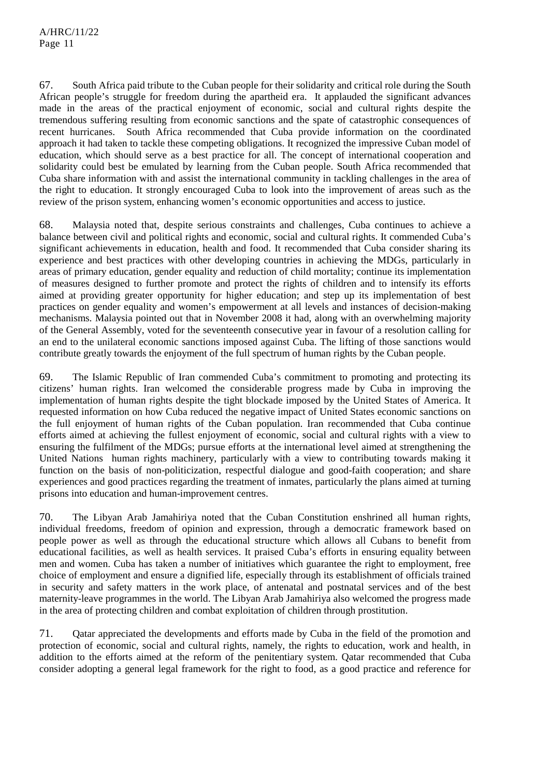67. South Africa paid tribute to the Cuban people for their solidarity and critical role during the South African people's struggle for freedom during the apartheid era. It applauded the significant advances made in the areas of the practical enjoyment of economic, social and cultural rights despite the tremendous suffering resulting from economic sanctions and the spate of catastrophic consequences of recent hurricanes. South Africa recommended that Cuba provide information on the coordinated approach it had taken to tackle these competing obligations. It recognized the impressive Cuban model of education, which should serve as a best practice for all. The concept of international cooperation and solidarity could best be emulated by learning from the Cuban people. South Africa recommended that Cuba share information with and assist the international community in tackling challenges in the area of the right to education. It strongly encouraged Cuba to look into the improvement of areas such as the review of the prison system, enhancing women's economic opportunities and access to justice.

68. Malaysia noted that, despite serious constraints and challenges, Cuba continues to achieve a balance between civil and political rights and economic, social and cultural rights. It commended Cuba's significant achievements in education, health and food. It recommended that Cuba consider sharing its experience and best practices with other developing countries in achieving the MDGs, particularly in areas of primary education, gender equality and reduction of child mortality; continue its implementation of measures designed to further promote and protect the rights of children and to intensify its efforts aimed at providing greater opportunity for higher education; and step up its implementation of best practices on gender equality and women's empowerment at all levels and instances of decision-making mechanisms. Malaysia pointed out that in November 2008 it had, along with an overwhelming majority of the General Assembly, voted for the seventeenth consecutive year in favour of a resolution calling for an end to the unilateral economic sanctions imposed against Cuba. The lifting of those sanctions would contribute greatly towards the enjoyment of the full spectrum of human rights by the Cuban people.

69. The Islamic Republic of Iran commended Cuba's commitment to promoting and protecting its citizens' human rights. Iran welcomed the considerable progress made by Cuba in improving the implementation of human rights despite the tight blockade imposed by the United States of America. It requested information on how Cuba reduced the negative impact of United States economic sanctions on the full enjoyment of human rights of the Cuban population. Iran recommended that Cuba continue efforts aimed at achieving the fullest enjoyment of economic, social and cultural rights with a view to ensuring the fulfilment of the MDGs; pursue efforts at the international level aimed at strengthening the United Nations human rights machinery, particularly with a view to contributing towards making it function on the basis of non-politicization, respectful dialogue and good-faith cooperation; and share experiences and good practices regarding the treatment of inmates, particularly the plans aimed at turning prisons into education and human-improvement centres.

70. The Libyan Arab Jamahiriya noted that the Cuban Constitution enshrined all human rights, individual freedoms, freedom of opinion and expression, through a democratic framework based on people power as well as through the educational structure which allows all Cubans to benefit from educational facilities, as well as health services. It praised Cuba's efforts in ensuring equality between men and women. Cuba has taken a number of initiatives which guarantee the right to employment, free choice of employment and ensure a dignified life, especially through its establishment of officials trained in security and safety matters in the work place, of antenatal and postnatal services and of the best maternity-leave programmes in the world. The Libyan Arab Jamahiriya also welcomed the progress made in the area of protecting children and combat exploitation of children through prostitution.

71. Qatar appreciated the developments and efforts made by Cuba in the field of the promotion and protection of economic, social and cultural rights, namely, the rights to education, work and health, in addition to the efforts aimed at the reform of the penitentiary system. Qatar recommended that Cuba consider adopting a general legal framework for the right to food, as a good practice and reference for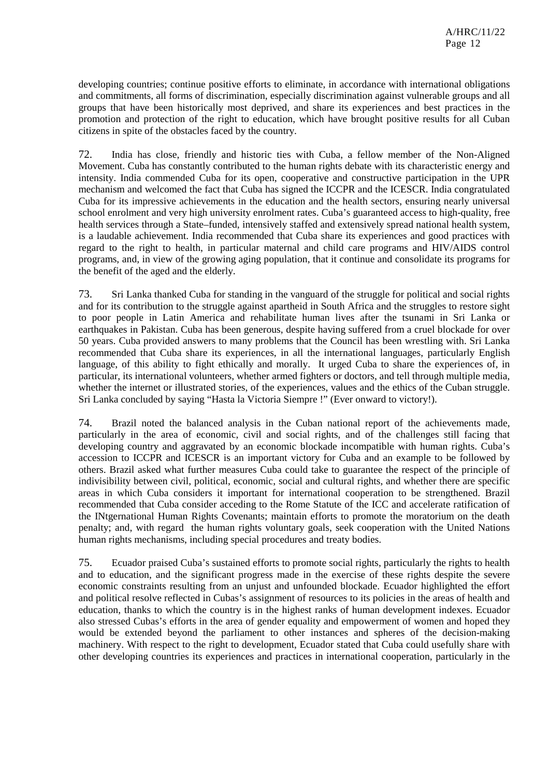developing countries; continue positive efforts to eliminate, in accordance with international obligations and commitments, all forms of discrimination, especially discrimination against vulnerable groups and all groups that have been historically most deprived, and share its experiences and best practices in the promotion and protection of the right to education, which have brought positive results for all Cuban citizens in spite of the obstacles faced by the country.

72. India has close, friendly and historic ties with Cuba, a fellow member of the Non-Aligned Movement. Cuba has constantly contributed to the human rights debate with its characteristic energy and intensity. India commended Cuba for its open, cooperative and constructive participation in the UPR mechanism and welcomed the fact that Cuba has signed the ICCPR and the ICESCR. India congratulated Cuba for its impressive achievements in the education and the health sectors, ensuring nearly universal school enrolment and very high university enrolment rates. Cuba's guaranteed access to high-quality, free health services through a State–funded, intensively staffed and extensively spread national health system, is a laudable achievement. India recommended that Cuba share its experiences and good practices with regard to the right to health, in particular maternal and child care programs and HIV/AIDS control programs, and, in view of the growing aging population, that it continue and consolidate its programs for the benefit of the aged and the elderly.

73. Sri Lanka thanked Cuba for standing in the vanguard of the struggle for political and social rights and for its contribution to the struggle against apartheid in South Africa and the struggles to restore sight to poor people in Latin America and rehabilitate human lives after the tsunami in Sri Lanka or earthquakes in Pakistan. Cuba has been generous, despite having suffered from a cruel blockade for over 50 years. Cuba provided answers to many problems that the Council has been wrestling with. Sri Lanka recommended that Cuba share its experiences, in all the international languages, particularly English language, of this ability to fight ethically and morally. It urged Cuba to share the experiences of, in particular, its international volunteers, whether armed fighters or doctors, and tell through multiple media, whether the internet or illustrated stories, of the experiences, values and the ethics of the Cuban struggle. Sri Lanka concluded by saying "Hasta la Victoria Siempre !" (Ever onward to victory!).

74. Brazil noted the balanced analysis in the Cuban national report of the achievements made, particularly in the area of economic, civil and social rights, and of the challenges still facing that developing country and aggravated by an economic blockade incompatible with human rights. Cuba's accession to ICCPR and ICESCR is an important victory for Cuba and an example to be followed by others. Brazil asked what further measures Cuba could take to guarantee the respect of the principle of indivisibility between civil, political, economic, social and cultural rights, and whether there are specific areas in which Cuba considers it important for international cooperation to be strengthened. Brazil recommended that Cuba consider acceding to the Rome Statute of the ICC and accelerate ratification of the INtgernational Human Rights Covenants; maintain efforts to promote the moratorium on the death penalty; and, with regard the human rights voluntary goals, seek cooperation with the United Nations human rights mechanisms, including special procedures and treaty bodies.

75. Ecuador praised Cuba's sustained efforts to promote social rights, particularly the rights to health and to education, and the significant progress made in the exercise of these rights despite the severe economic constraints resulting from an unjust and unfounded blockade. Ecuador highlighted the effort and political resolve reflected in Cubas's assignment of resources to its policies in the areas of health and education, thanks to which the country is in the highest ranks of human development indexes. Ecuador also stressed Cubas's efforts in the area of gender equality and empowerment of women and hoped they would be extended beyond the parliament to other instances and spheres of the decision-making machinery. With respect to the right to development, Ecuador stated that Cuba could usefully share with other developing countries its experiences and practices in international cooperation, particularly in the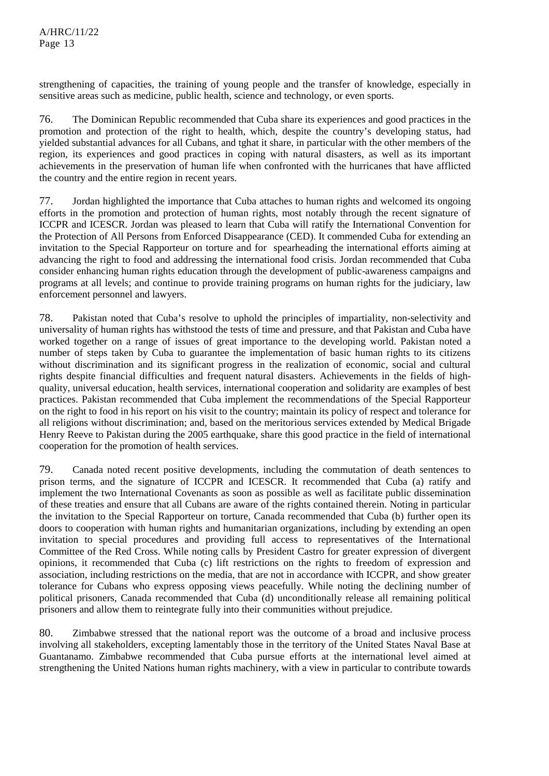strengthening of capacities, the training of young people and the transfer of knowledge, especially in sensitive areas such as medicine, public health, science and technology, or even sports.

76. The Dominican Republic recommended that Cuba share its experiences and good practices in the promotion and protection of the right to health, which, despite the country's developing status, had yielded substantial advances for all Cubans, and tghat it share, in particular with the other members of the region, its experiences and good practices in coping with natural disasters, as well as its important achievements in the preservation of human life when confronted with the hurricanes that have afflicted the country and the entire region in recent years.

77. Jordan highlighted the importance that Cuba attaches to human rights and welcomed its ongoing efforts in the promotion and protection of human rights, most notably through the recent signature of ICCPR and ICESCR. Jordan was pleased to learn that Cuba will ratify the International Convention for the Protection of All Persons from Enforced Disappearance (CED). It commended Cuba for extending an invitation to the Special Rapporteur on torture and for spearheading the international efforts aiming at advancing the right to food and addressing the international food crisis. Jordan recommended that Cuba consider enhancing human rights education through the development of public-awareness campaigns and programs at all levels; and continue to provide training programs on human rights for the judiciary, law enforcement personnel and lawyers.

78. Pakistan noted that Cuba's resolve to uphold the principles of impartiality, non-selectivity and universality of human rights has withstood the tests of time and pressure, and that Pakistan and Cuba have worked together on a range of issues of great importance to the developing world. Pakistan noted a number of steps taken by Cuba to guarantee the implementation of basic human rights to its citizens without discrimination and its significant progress in the realization of economic, social and cultural rights despite financial difficulties and frequent natural disasters. Achievements in the fields of highquality, universal education, health services, international cooperation and solidarity are examples of best practices. Pakistan recommended that Cuba implement the recommendations of the Special Rapporteur on the right to food in his report on his visit to the country; maintain its policy of respect and tolerance for all religions without discrimination; and, based on the meritorious services extended by Medical Brigade Henry Reeve to Pakistan during the 2005 earthquake, share this good practice in the field of international cooperation for the promotion of health services.

79. Canada noted recent positive developments, including the commutation of death sentences to prison terms, and the signature of ICCPR and ICESCR. It recommended that Cuba (a) ratify and implement the two International Covenants as soon as possible as well as facilitate public dissemination of these treaties and ensure that all Cubans are aware of the rights contained therein. Noting in particular the invitation to the Special Rapporteur on torture, Canada recommended that Cuba (b) further open its doors to cooperation with human rights and humanitarian organizations, including by extending an open invitation to special procedures and providing full access to representatives of the International Committee of the Red Cross. While noting calls by President Castro for greater expression of divergent opinions, it recommended that Cuba (c) lift restrictions on the rights to freedom of expression and association, including restrictions on the media, that are not in accordance with ICCPR, and show greater tolerance for Cubans who express opposing views peacefully. While noting the declining number of political prisoners, Canada recommended that Cuba (d) unconditionally release all remaining political prisoners and allow them to reintegrate fully into their communities without prejudice.

80. Zimbabwe stressed that the national report was the outcome of a broad and inclusive process involving all stakeholders, excepting lamentably those in the territory of the United States Naval Base at Guantanamo. Zimbabwe recommended that Cuba pursue efforts at the international level aimed at strengthening the United Nations human rights machinery, with a view in particular to contribute towards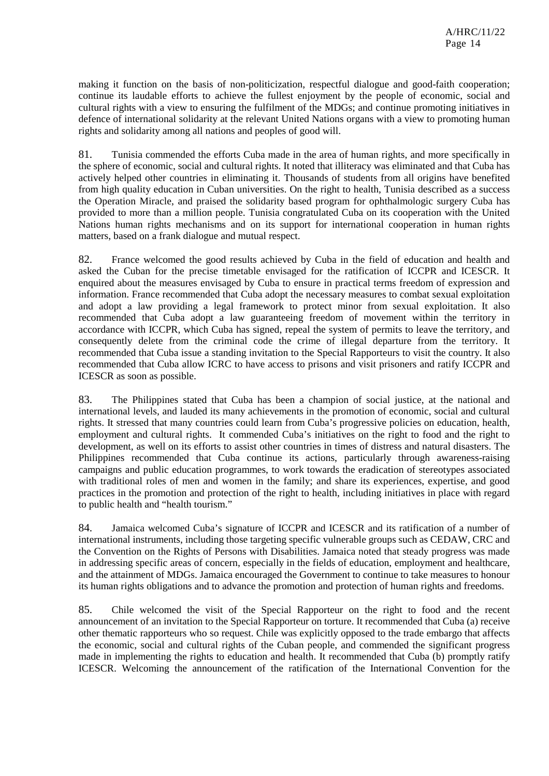making it function on the basis of non-politicization, respectful dialogue and good-faith cooperation; continue its laudable efforts to achieve the fullest enjoyment by the people of economic, social and cultural rights with a view to ensuring the fulfilment of the MDGs; and continue promoting initiatives in defence of international solidarity at the relevant United Nations organs with a view to promoting human rights and solidarity among all nations and peoples of good will.

81. Tunisia commended the efforts Cuba made in the area of human rights, and more specifically in the sphere of economic, social and cultural rights. It noted that illiteracy was eliminated and that Cuba has actively helped other countries in eliminating it. Thousands of students from all origins have benefited from high quality education in Cuban universities. On the right to health, Tunisia described as a success the Operation Miracle, and praised the solidarity based program for ophthalmologic surgery Cuba has provided to more than a million people. Tunisia congratulated Cuba on its cooperation with the United Nations human rights mechanisms and on its support for international cooperation in human rights matters, based on a frank dialogue and mutual respect.

82. France welcomed the good results achieved by Cuba in the field of education and health and asked the Cuban for the precise timetable envisaged for the ratification of ICCPR and ICESCR. It enquired about the measures envisaged by Cuba to ensure in practical terms freedom of expression and information. France recommended that Cuba adopt the necessary measures to combat sexual exploitation and adopt a law providing a legal framework to protect minor from sexual exploitation. It also recommended that Cuba adopt a law guaranteeing freedom of movement within the territory in accordance with ICCPR, which Cuba has signed, repeal the system of permits to leave the territory, and consequently delete from the criminal code the crime of illegal departure from the territory. It recommended that Cuba issue a standing invitation to the Special Rapporteurs to visit the country. It also recommended that Cuba allow ICRC to have access to prisons and visit prisoners and ratify ICCPR and ICESCR as soon as possible.

83. The Philippines stated that Cuba has been a champion of social justice, at the national and international levels, and lauded its many achievements in the promotion of economic, social and cultural rights. It stressed that many countries could learn from Cuba's progressive policies on education, health, employment and cultural rights. It commended Cuba's initiatives on the right to food and the right to development, as well on its efforts to assist other countries in times of distress and natural disasters. The Philippines recommended that Cuba continue its actions, particularly through awareness-raising campaigns and public education programmes, to work towards the eradication of stereotypes associated with traditional roles of men and women in the family; and share its experiences, expertise, and good practices in the promotion and protection of the right to health, including initiatives in place with regard to public health and "health tourism."

84. Jamaica welcomed Cuba's signature of ICCPR and ICESCR and its ratification of a number of international instruments, including those targeting specific vulnerable groups such as CEDAW, CRC and the Convention on the Rights of Persons with Disabilities. Jamaica noted that steady progress was made in addressing specific areas of concern, especially in the fields of education, employment and healthcare, and the attainment of MDGs. Jamaica encouraged the Government to continue to take measures to honour its human rights obligations and to advance the promotion and protection of human rights and freedoms.

85. Chile welcomed the visit of the Special Rapporteur on the right to food and the recent announcement of an invitation to the Special Rapporteur on torture. It recommended that Cuba (a) receive other thematic rapporteurs who so request. Chile was explicitly opposed to the trade embargo that affects the economic, social and cultural rights of the Cuban people, and commended the significant progress made in implementing the rights to education and health. It recommended that Cuba (b) promptly ratify ICESCR. Welcoming the announcement of the ratification of the International Convention for the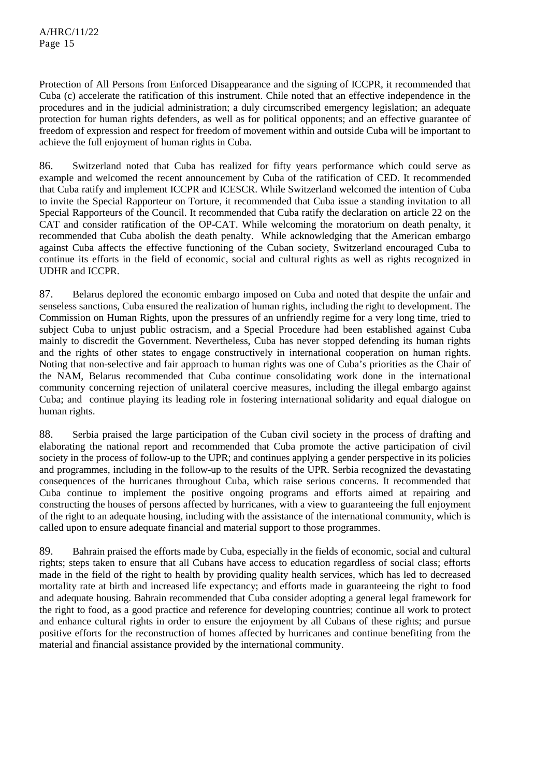Protection of All Persons from Enforced Disappearance and the signing of ICCPR, it recommended that Cuba (c) accelerate the ratification of this instrument. Chile noted that an effective independence in the procedures and in the judicial administration; a duly circumscribed emergency legislation; an adequate protection for human rights defenders, as well as for political opponents; and an effective guarantee of freedom of expression and respect for freedom of movement within and outside Cuba will be important to achieve the full enjoyment of human rights in Cuba.

86. Switzerland noted that Cuba has realized for fifty years performance which could serve as example and welcomed the recent announcement by Cuba of the ratification of CED. It recommended that Cuba ratify and implement ICCPR and ICESCR. While Switzerland welcomed the intention of Cuba to invite the Special Rapporteur on Torture, it recommended that Cuba issue a standing invitation to all Special Rapporteurs of the Council. It recommended that Cuba ratify the declaration on article 22 on the CAT and consider ratification of the OP-CAT. While welcoming the moratorium on death penalty, it recommended that Cuba abolish the death penalty. While acknowledging that the American embargo against Cuba affects the effective functioning of the Cuban society, Switzerland encouraged Cuba to continue its efforts in the field of economic, social and cultural rights as well as rights recognized in UDHR and ICCPR.

87. Belarus deplored the economic embargo imposed on Cuba and noted that despite the unfair and senseless sanctions, Cuba ensured the realization of human rights, including the right to development. The Commission on Human Rights, upon the pressures of an unfriendly regime for a very long time, tried to subject Cuba to unjust public ostracism, and a Special Procedure had been established against Cuba mainly to discredit the Government. Nevertheless, Cuba has never stopped defending its human rights and the rights of other states to engage constructively in international cooperation on human rights. Noting that non-selective and fair approach to human rights was one of Cuba's priorities as the Chair of the NAM, Belarus recommended that Cuba continue consolidating work done in the international community concerning rejection of unilateral coercive measures, including the illegal embargo against Cuba; and continue playing its leading role in fostering international solidarity and equal dialogue on human rights.

88. Serbia praised the large participation of the Cuban civil society in the process of drafting and elaborating the national report and recommended that Cuba promote the active participation of civil society in the process of follow-up to the UPR; and continues applying a gender perspective in its policies and programmes, including in the follow-up to the results of the UPR. Serbia recognized the devastating consequences of the hurricanes throughout Cuba, which raise serious concerns. It recommended that Cuba continue to implement the positive ongoing programs and efforts aimed at repairing and constructing the houses of persons affected by hurricanes, with a view to guaranteeing the full enjoyment of the right to an adequate housing, including with the assistance of the international community, which is called upon to ensure adequate financial and material support to those programmes.

89. Bahrain praised the efforts made by Cuba, especially in the fields of economic, social and cultural rights; steps taken to ensure that all Cubans have access to education regardless of social class; efforts made in the field of the right to health by providing quality health services, which has led to decreased mortality rate at birth and increased life expectancy; and efforts made in guaranteeing the right to food and adequate housing. Bahrain recommended that Cuba consider adopting a general legal framework for the right to food, as a good practice and reference for developing countries; continue all work to protect and enhance cultural rights in order to ensure the enjoyment by all Cubans of these rights; and pursue positive efforts for the reconstruction of homes affected by hurricanes and continue benefiting from the material and financial assistance provided by the international community.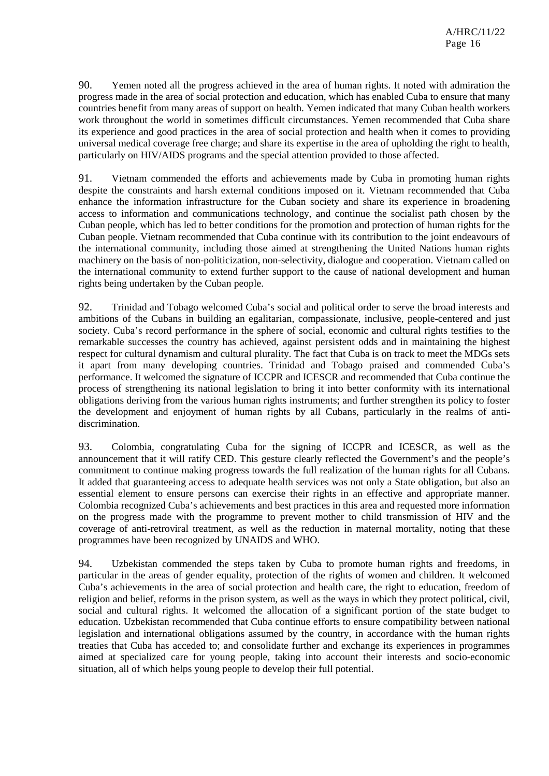90. Yemen noted all the progress achieved in the area of human rights. It noted with admiration the progress made in the area of social protection and education, which has enabled Cuba to ensure that many countries benefit from many areas of support on health. Yemen indicated that many Cuban health workers work throughout the world in sometimes difficult circumstances. Yemen recommended that Cuba share its experience and good practices in the area of social protection and health when it comes to providing universal medical coverage free charge; and share its expertise in the area of upholding the right to health, particularly on HIV/AIDS programs and the special attention provided to those affected.

91. Vietnam commended the efforts and achievements made by Cuba in promoting human rights despite the constraints and harsh external conditions imposed on it. Vietnam recommended that Cuba enhance the information infrastructure for the Cuban society and share its experience in broadening access to information and communications technology, and continue the socialist path chosen by the Cuban people, which has led to better conditions for the promotion and protection of human rights for the Cuban people. Vietnam recommended that Cuba continue with its contribution to the joint endeavours of the international community, including those aimed at strengthening the United Nations human rights machinery on the basis of non-politicization, non-selectivity, dialogue and cooperation. Vietnam called on the international community to extend further support to the cause of national development and human rights being undertaken by the Cuban people.

92. Trinidad and Tobago welcomed Cuba's social and political order to serve the broad interests and ambitions of the Cubans in building an egalitarian, compassionate, inclusive, people-centered and just society. Cuba's record performance in the sphere of social, economic and cultural rights testifies to the remarkable successes the country has achieved, against persistent odds and in maintaining the highest respect for cultural dynamism and cultural plurality. The fact that Cuba is on track to meet the MDGs sets it apart from many developing countries. Trinidad and Tobago praised and commended Cuba's performance. It welcomed the signature of ICCPR and ICESCR and recommended that Cuba continue the process of strengthening its national legislation to bring it into better conformity with its international obligations deriving from the various human rights instruments; and further strengthen its policy to foster the development and enjoyment of human rights by all Cubans, particularly in the realms of antidiscrimination.

93. Colombia, congratulating Cuba for the signing of ICCPR and ICESCR, as well as the announcement that it will ratify CED. This gesture clearly reflected the Government's and the people's commitment to continue making progress towards the full realization of the human rights for all Cubans. It added that guaranteeing access to adequate health services was not only a State obligation, but also an essential element to ensure persons can exercise their rights in an effective and appropriate manner. Colombia recognized Cuba's achievements and best practices in this area and requested more information on the progress made with the programme to prevent mother to child transmission of HIV and the coverage of anti-retroviral treatment, as well as the reduction in maternal mortality, noting that these programmes have been recognized by UNAIDS and WHO.

94. Uzbekistan commended the steps taken by Cuba to promote human rights and freedoms, in particular in the areas of gender equality, protection of the rights of women and children. It welcomed Cuba's achievements in the area of social protection and health care, the right to education, freedom of religion and belief, reforms in the prison system, as well as the ways in which they protect political, civil, social and cultural rights. It welcomed the allocation of a significant portion of the state budget to education. Uzbekistan recommended that Cuba continue efforts to ensure compatibility between national legislation and international obligations assumed by the country, in accordance with the human rights treaties that Cuba has acceded to; and consolidate further and exchange its experiences in programmes aimed at specialized care for young people, taking into account their interests and socio-economic situation, all of which helps young people to develop their full potential.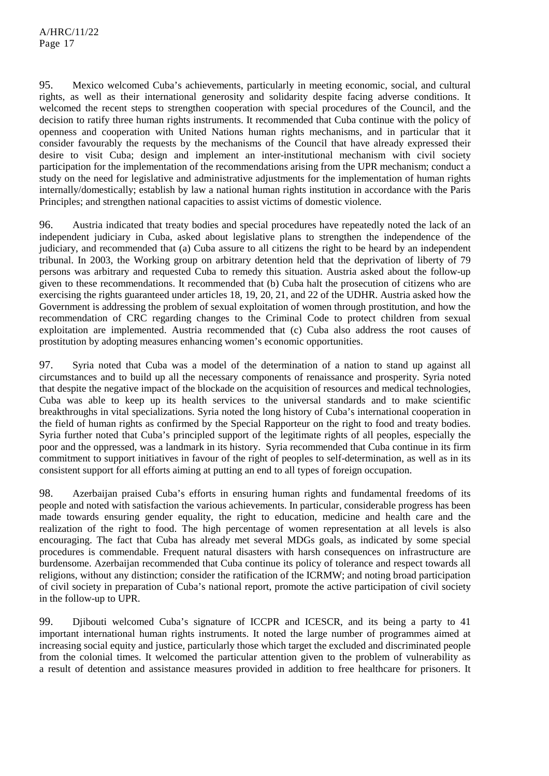95. Mexico welcomed Cuba's achievements, particularly in meeting economic, social, and cultural rights, as well as their international generosity and solidarity despite facing adverse conditions. It welcomed the recent steps to strengthen cooperation with special procedures of the Council, and the decision to ratify three human rights instruments. It recommended that Cuba continue with the policy of openness and cooperation with United Nations human rights mechanisms, and in particular that it consider favourably the requests by the mechanisms of the Council that have already expressed their desire to visit Cuba; design and implement an inter-institutional mechanism with civil society participation for the implementation of the recommendations arising from the UPR mechanism; conduct a study on the need for legislative and administrative adjustments for the implementation of human rights internally/domestically; establish by law a national human rights institution in accordance with the Paris Principles; and strengthen national capacities to assist victims of domestic violence.

96. Austria indicated that treaty bodies and special procedures have repeatedly noted the lack of an independent judiciary in Cuba, asked about legislative plans to strengthen the independence of the judiciary, and recommended that (a) Cuba assure to all citizens the right to be heard by an independent tribunal. In 2003, the Working group on arbitrary detention held that the deprivation of liberty of 79 persons was arbitrary and requested Cuba to remedy this situation. Austria asked about the follow-up given to these recommendations. It recommended that (b) Cuba halt the prosecution of citizens who are exercising the rights guaranteed under articles 18, 19, 20, 21, and 22 of the UDHR. Austria asked how the Government is addressing the problem of sexual exploitation of women through prostitution, and how the recommendation of CRC regarding changes to the Criminal Code to protect children from sexual exploitation are implemented. Austria recommended that (c) Cuba also address the root causes of prostitution by adopting measures enhancing women's economic opportunities.

97. Syria noted that Cuba was a model of the determination of a nation to stand up against all circumstances and to build up all the necessary components of renaissance and prosperity. Syria noted that despite the negative impact of the blockade on the acquisition of resources and medical technologies, Cuba was able to keep up its health services to the universal standards and to make scientific breakthroughs in vital specializations. Syria noted the long history of Cuba's international cooperation in the field of human rights as confirmed by the Special Rapporteur on the right to food and treaty bodies. Syria further noted that Cuba's principled support of the legitimate rights of all peoples, especially the poor and the oppressed, was a landmark in its history. Syria recommended that Cuba continue in its firm commitment to support initiatives in favour of the right of peoples to self-determination, as well as in its consistent support for all efforts aiming at putting an end to all types of foreign occupation.

98. Azerbaijan praised Cuba's efforts in ensuring human rights and fundamental freedoms of its people and noted with satisfaction the various achievements. In particular, considerable progress has been made towards ensuring gender equality, the right to education, medicine and health care and the realization of the right to food. The high percentage of women representation at all levels is also encouraging. The fact that Cuba has already met several MDGs goals, as indicated by some special procedures is commendable. Frequent natural disasters with harsh consequences on infrastructure are burdensome. Azerbaijan recommended that Cuba continue its policy of tolerance and respect towards all religions, without any distinction; consider the ratification of the ICRMW; and noting broad participation of civil society in preparation of Cuba's national report, promote the active participation of civil society in the follow-up to UPR.

99. Djibouti welcomed Cuba's signature of ICCPR and ICESCR, and its being a party to 41 important international human rights instruments. It noted the large number of programmes aimed at increasing social equity and justice, particularly those which target the excluded and discriminated people from the colonial times. It welcomed the particular attention given to the problem of vulnerability as a result of detention and assistance measures provided in addition to free healthcare for prisoners. It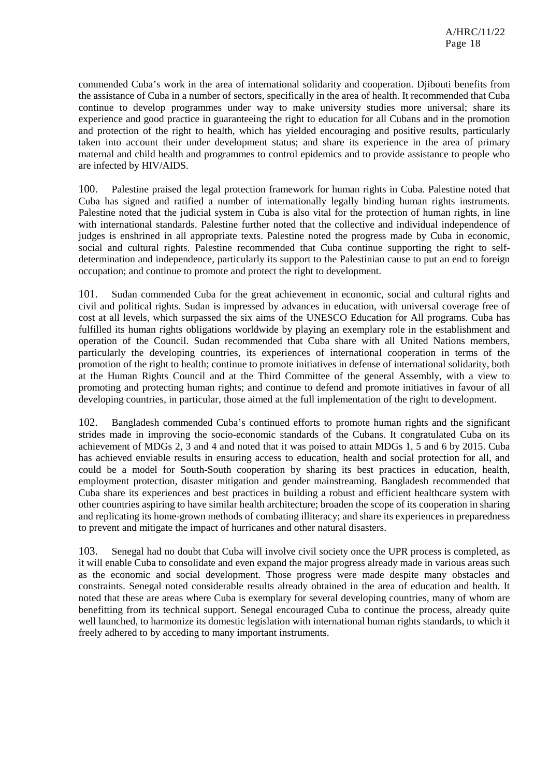commended Cuba's work in the area of international solidarity and cooperation. Djibouti benefits from the assistance of Cuba in a number of sectors, specifically in the area of health. It recommended that Cuba continue to develop programmes under way to make university studies more universal; share its experience and good practice in guaranteeing the right to education for all Cubans and in the promotion and protection of the right to health, which has yielded encouraging and positive results, particularly taken into account their under development status; and share its experience in the area of primary maternal and child health and programmes to control epidemics and to provide assistance to people who are infected by HIV/AIDS.

100. Palestine praised the legal protection framework for human rights in Cuba. Palestine noted that Cuba has signed and ratified a number of internationally legally binding human rights instruments. Palestine noted that the judicial system in Cuba is also vital for the protection of human rights, in line with international standards. Palestine further noted that the collective and individual independence of judges is enshrined in all appropriate texts. Palestine noted the progress made by Cuba in economic, social and cultural rights. Palestine recommended that Cuba continue supporting the right to selfdetermination and independence, particularly its support to the Palestinian cause to put an end to foreign occupation; and continue to promote and protect the right to development.

101. Sudan commended Cuba for the great achievement in economic, social and cultural rights and civil and political rights. Sudan is impressed by advances in education, with universal coverage free of cost at all levels, which surpassed the six aims of the UNESCO Education for All programs. Cuba has fulfilled its human rights obligations worldwide by playing an exemplary role in the establishment and operation of the Council. Sudan recommended that Cuba share with all United Nations members, particularly the developing countries, its experiences of international cooperation in terms of the promotion of the right to health; continue to promote initiatives in defense of international solidarity, both at the Human Rights Council and at the Third Committee of the general Assembly, with a view to promoting and protecting human rights; and continue to defend and promote initiatives in favour of all developing countries, in particular, those aimed at the full implementation of the right to development.

102. Bangladesh commended Cuba's continued efforts to promote human rights and the significant strides made in improving the socio-economic standards of the Cubans. It congratulated Cuba on its achievement of MDGs 2, 3 and 4 and noted that it was poised to attain MDGs 1, 5 and 6 by 2015. Cuba has achieved enviable results in ensuring access to education, health and social protection for all, and could be a model for South-South cooperation by sharing its best practices in education, health, employment protection, disaster mitigation and gender mainstreaming. Bangladesh recommended that Cuba share its experiences and best practices in building a robust and efficient healthcare system with other countries aspiring to have similar health architecture; broaden the scope of its cooperation in sharing and replicating its home-grown methods of combating illiteracy; and share its experiences in preparedness to prevent and mitigate the impact of hurricanes and other natural disasters.

103. Senegal had no doubt that Cuba will involve civil society once the UPR process is completed, as it will enable Cuba to consolidate and even expand the major progress already made in various areas such as the economic and social development. Those progress were made despite many obstacles and constraints. Senegal noted considerable results already obtained in the area of education and health. It noted that these are areas where Cuba is exemplary for several developing countries, many of whom are benefitting from its technical support. Senegal encouraged Cuba to continue the process, already quite well launched, to harmonize its domestic legislation with international human rights standards, to which it freely adhered to by acceding to many important instruments.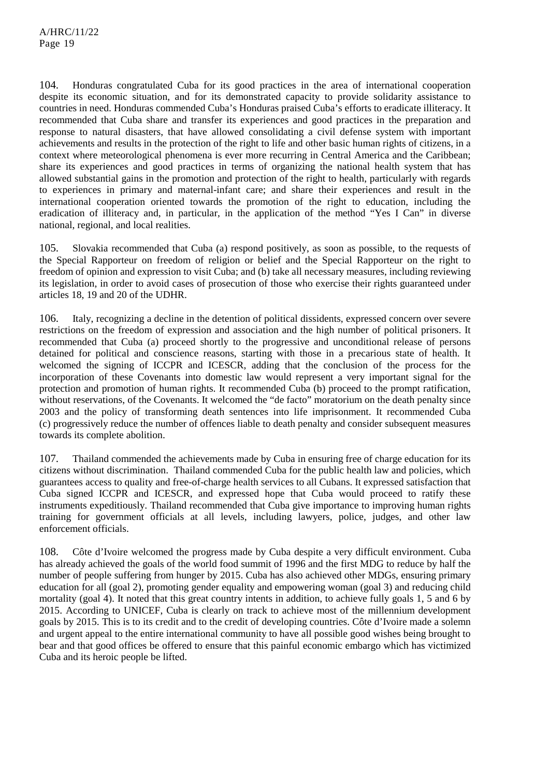104. Honduras congratulated Cuba for its good practices in the area of international cooperation despite its economic situation, and for its demonstrated capacity to provide solidarity assistance to countries in need. Honduras commended Cuba's Honduras praised Cuba's efforts to eradicate illiteracy. It recommended that Cuba share and transfer its experiences and good practices in the preparation and response to natural disasters, that have allowed consolidating a civil defense system with important achievements and results in the protection of the right to life and other basic human rights of citizens, in a context where meteorological phenomena is ever more recurring in Central America and the Caribbean; share its experiences and good practices in terms of organizing the national health system that has allowed substantial gains in the promotion and protection of the right to health, particularly with regards to experiences in primary and maternal-infant care; and share their experiences and result in the international cooperation oriented towards the promotion of the right to education, including the eradication of illiteracy and, in particular, in the application of the method "Yes I Can" in diverse national, regional, and local realities.

105. Slovakia recommended that Cuba (a) respond positively, as soon as possible, to the requests of the Special Rapporteur on freedom of religion or belief and the Special Rapporteur on the right to freedom of opinion and expression to visit Cuba; and (b) take all necessary measures, including reviewing its legislation, in order to avoid cases of prosecution of those who exercise their rights guaranteed under articles 18, 19 and 20 of the UDHR.

106. Italy, recognizing a decline in the detention of political dissidents, expressed concern over severe restrictions on the freedom of expression and association and the high number of political prisoners. It recommended that Cuba (a) proceed shortly to the progressive and unconditional release of persons detained for political and conscience reasons, starting with those in a precarious state of health. It welcomed the signing of ICCPR and ICESCR, adding that the conclusion of the process for the incorporation of these Covenants into domestic law would represent a very important signal for the protection and promotion of human rights. It recommended Cuba (b) proceed to the prompt ratification, without reservations, of the Covenants. It welcomed the "de facto" moratorium on the death penalty since 2003 and the policy of transforming death sentences into life imprisonment. It recommended Cuba (c) progressively reduce the number of offences liable to death penalty and consider subsequent measures towards its complete abolition.

107. Thailand commended the achievements made by Cuba in ensuring free of charge education for its citizens without discrimination. Thailand commended Cuba for the public health law and policies, which guarantees access to quality and free-of-charge health services to all Cubans. It expressed satisfaction that Cuba signed ICCPR and ICESCR, and expressed hope that Cuba would proceed to ratify these instruments expeditiously. Thailand recommended that Cuba give importance to improving human rights training for government officials at all levels, including lawyers, police, judges, and other law enforcement officials.

108. Côte d'Ivoire welcomed the progress made by Cuba despite a very difficult environment. Cuba has already achieved the goals of the world food summit of 1996 and the first MDG to reduce by half the number of people suffering from hunger by 2015. Cuba has also achieved other MDGs, ensuring primary education for all (goal 2), promoting gender equality and empowering woman (goal 3) and reducing child mortality (goal 4). It noted that this great country intents in addition, to achieve fully goals 1, 5 and 6 by 2015. According to UNICEF, Cuba is clearly on track to achieve most of the millennium development goals by 2015. This is to its credit and to the credit of developing countries. Côte d'Ivoire made a solemn and urgent appeal to the entire international community to have all possible good wishes being brought to bear and that good offices be offered to ensure that this painful economic embargo which has victimized Cuba and its heroic people be lifted.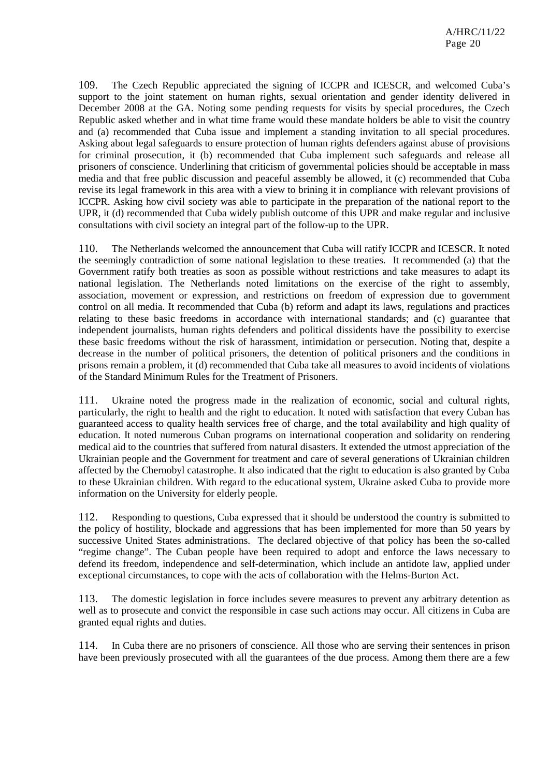109. The Czech Republic appreciated the signing of ICCPR and ICESCR, and welcomed Cuba's support to the joint statement on human rights, sexual orientation and gender identity delivered in December 2008 at the GA. Noting some pending requests for visits by special procedures, the Czech Republic asked whether and in what time frame would these mandate holders be able to visit the country and (a) recommended that Cuba issue and implement a standing invitation to all special procedures. Asking about legal safeguards to ensure protection of human rights defenders against abuse of provisions for criminal prosecution, it (b) recommended that Cuba implement such safeguards and release all prisoners of conscience. Underlining that criticism of governmental policies should be acceptable in mass media and that free public discussion and peaceful assembly be allowed, it (c) recommended that Cuba revise its legal framework in this area with a view to brining it in compliance with relevant provisions of ICCPR. Asking how civil society was able to participate in the preparation of the national report to the UPR, it (d) recommended that Cuba widely publish outcome of this UPR and make regular and inclusive consultations with civil society an integral part of the follow-up to the UPR.

110. The Netherlands welcomed the announcement that Cuba will ratify ICCPR and ICESCR. It noted the seemingly contradiction of some national legislation to these treaties. It recommended (a) that the Government ratify both treaties as soon as possible without restrictions and take measures to adapt its national legislation. The Netherlands noted limitations on the exercise of the right to assembly, association, movement or expression, and restrictions on freedom of expression due to government control on all media. It recommended that Cuba (b) reform and adapt its laws, regulations and practices relating to these basic freedoms in accordance with international standards; and (c) guarantee that independent journalists, human rights defenders and political dissidents have the possibility to exercise these basic freedoms without the risk of harassment, intimidation or persecution. Noting that, despite a decrease in the number of political prisoners, the detention of political prisoners and the conditions in prisons remain a problem, it (d) recommended that Cuba take all measures to avoid incidents of violations of the Standard Minimum Rules for the Treatment of Prisoners.

111. Ukraine noted the progress made in the realization of economic, social and cultural rights, particularly, the right to health and the right to education. It noted with satisfaction that every Cuban has guaranteed access to quality health services free of charge, and the total availability and high quality of education. It noted numerous Cuban programs on international cooperation and solidarity on rendering medical aid to the countries that suffered from natural disasters. It extended the utmost appreciation of the Ukrainian people and the Government for treatment and care of several generations of Ukrainian children affected by the Chernobyl catastrophe. It also indicated that the right to education is also granted by Cuba to these Ukrainian children. With regard to the educational system, Ukraine asked Cuba to provide more information on the University for elderly people.

112. Responding to questions, Cuba expressed that it should be understood the country is submitted to the policy of hostility, blockade and aggressions that has been implemented for more than 50 years by successive United States administrations. The declared objective of that policy has been the so-called "regime change". The Cuban people have been required to adopt and enforce the laws necessary to defend its freedom, independence and self-determination, which include an antidote law, applied under exceptional circumstances, to cope with the acts of collaboration with the Helms-Burton Act.

113. The domestic legislation in force includes severe measures to prevent any arbitrary detention as well as to prosecute and convict the responsible in case such actions may occur. All citizens in Cuba are granted equal rights and duties.

114. In Cuba there are no prisoners of conscience. All those who are serving their sentences in prison have been previously prosecuted with all the guarantees of the due process. Among them there are a few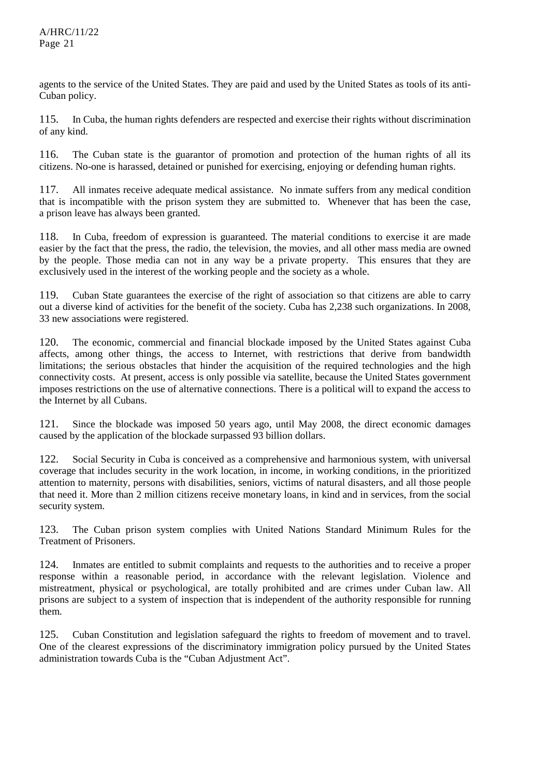agents to the service of the United States. They are paid and used by the United States as tools of its anti-Cuban policy.

115. In Cuba, the human rights defenders are respected and exercise their rights without discrimination of any kind.

116. The Cuban state is the guarantor of promotion and protection of the human rights of all its citizens. No-one is harassed, detained or punished for exercising, enjoying or defending human rights.

117. All inmates receive adequate medical assistance. No inmate suffers from any medical condition that is incompatible with the prison system they are submitted to. Whenever that has been the case, a prison leave has always been granted.

118. In Cuba, freedom of expression is guaranteed. The material conditions to exercise it are made easier by the fact that the press, the radio, the television, the movies, and all other mass media are owned by the people. Those media can not in any way be a private property. This ensures that they are exclusively used in the interest of the working people and the society as a whole.

119. Cuban State guarantees the exercise of the right of association so that citizens are able to carry out a diverse kind of activities for the benefit of the society. Cuba has 2,238 such organizations. In 2008, 33 new associations were registered.

120. The economic, commercial and financial blockade imposed by the United States against Cuba affects, among other things, the access to Internet, with restrictions that derive from bandwidth limitations; the serious obstacles that hinder the acquisition of the required technologies and the high connectivity costs. At present, access is only possible via satellite, because the United States government imposes restrictions on the use of alternative connections. There is a political will to expand the access to the Internet by all Cubans.

121. Since the blockade was imposed 50 years ago, until May 2008, the direct economic damages caused by the application of the blockade surpassed 93 billion dollars.

122. Social Security in Cuba is conceived as a comprehensive and harmonious system, with universal coverage that includes security in the work location, in income, in working conditions, in the prioritized attention to maternity, persons with disabilities, seniors, victims of natural disasters, and all those people that need it. More than 2 million citizens receive monetary loans, in kind and in services, from the social security system.

123. The Cuban prison system complies with United Nations Standard Minimum Rules for the Treatment of Prisoners.

124. Inmates are entitled to submit complaints and requests to the authorities and to receive a proper response within a reasonable period, in accordance with the relevant legislation. Violence and mistreatment, physical or psychological, are totally prohibited and are crimes under Cuban law. All prisons are subject to a system of inspection that is independent of the authority responsible for running them.

125. Cuban Constitution and legislation safeguard the rights to freedom of movement and to travel. One of the clearest expressions of the discriminatory immigration policy pursued by the United States administration towards Cuba is the "Cuban Adjustment Act".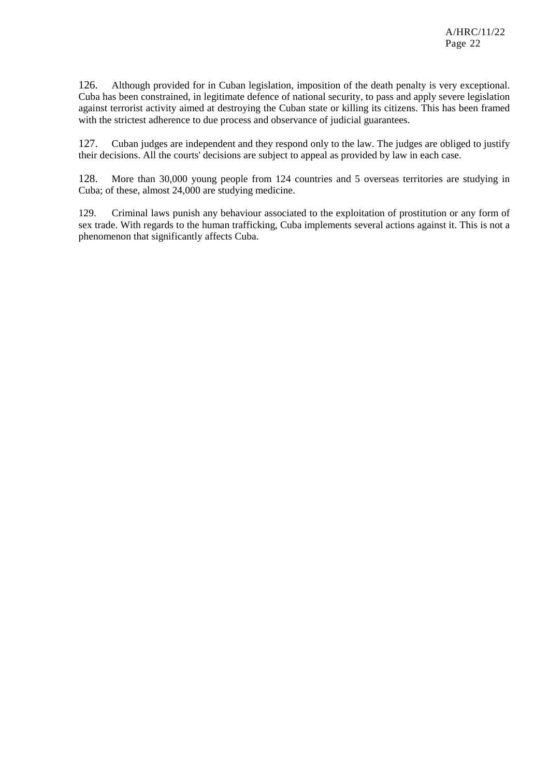126. Although provided for in Cuban legislation, imposition of the death penalty is very exceptional. Cuba has been constrained, in legitimate defence of national security, to pass and apply severe legislation against terrorist activity aimed at destroying the Cuban state or killing its citizens. This has been framed with the strictest adherence to due process and observance of judicial guarantees.

127. Cuban judges are independent and they respond only to the law. The judges are obliged to justify their decisions. All the courts' decisions are subject to appeal as provided by law in each case.

128. More than 30,000 young people from 124 countries and 5 overseas territories are studying in Cuba; of these, almost 24,000 are studying medicine.

129. Criminal laws punish any behaviour associated to the exploitation of prostitution or any form of sex trade. With regards to the human trafficking, Cuba implements several actions against it. This is not a phenomenon that significantly affects Cuba.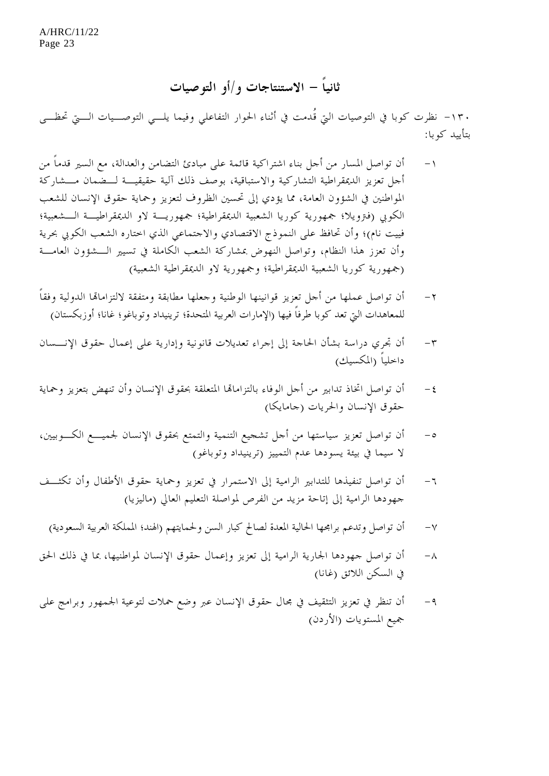# **ثانياً - الاستنتاجات و/أو التوصيات**

-١٣٠ نظرت كوبا في التوصيات التي قُدمت في أثناء الحوار التفاعلي وفيما يلـــي التوصـــيات الــــيّ تحظــــى بتأييد كوبا:

- -١ أن تواصل المسار من أجل بناء اشتراكية قائمة على مبادئ التضامن والعدالة، مع السير قدماً من أجل تعزيز الديمقراطية التشاركية والاستباقية، بوصف ذلك آلية حقيقيـة لـضمان مـشاركة المواطنين في الشؤون العامة، مما يؤدي إلى تحسين الظروف لتعزيز وحماية حقوق الإنسان للشعب الكوبي (فترويلا؛ جمهورية كوريا الشعبية الديمقراطية؛ جمهوريـة لاو الديمقراطيـة الـشعبية؛ فييت نام)؛ وأن تحافظ على النموذج الاقتصادي والاجتماعي الذي اختاره الشعب الكوبي بحرية وأن تعزز هذا النظام، وتواصل النهوض بمشاركة الشعب الكاملة في تسيير الـشؤون العامـة (جمهورية كوريا الشعبية الديمقراطية؛ وجمهورية لاو الديمقراطية الشعبية)
- -٢ أن تواصل عملها من أجل تعزيز قوانينها الوطنية وجعلها مطابقة ومتفقة لالتزاماهتا الدولية وفقاً للمعاهدات التي تعد كوبا طرفاً فيها (الإمارات العربية المتحدة؛ ترينيداد وتوباغو؛ غانا؛ أوزبكستان)
- -٣ أن تجري دراسة بشأن الحاجة إلى إجراء تعديلات قانونية وإدارية على إعمال حقوق الإنـسان داخلياً (المكسيك)
- -٤ أن تواصل اتخاذ تدابير من أجل الوفاء بالتزاماهتا المتعلقة بحقوق الإنسان وأن تنهض بتعزيز وحماية حقوق الإنسان والحريات (جامايكا)
- -٥ أن تواصل تعزيز سياستها من أجل تشجيع التنمية والتمتع بحقوق الإنسان لجميـع الكـوبيين، لا سيما في بيئة يسودها عدم التمييز (ترينيداد وتوباغو)
- -٦ أن تواصل تنفيذها للتدابير الرامية إلى الاستمرار في تعزيز وحماية حقوق الأطفال وأن تكثـف جهودها الرامية إلى إتاحة مزيد من الفرص لمواصلة التعليم العالي (ماليزيا)
	- -٧ أن تواصل وتدعم برامجها الحالية المعدة لصالح كبار السن ولحمايتهم (الهند؛ المملكة العربية السعودية)
- -٨ أن تواصل جهودها الجارية الرامية إلى تعزيز وإعمال حقوق الإنسان لمواطنيها، بما في ذلك الح ق في السكن اللائق (غانا)
- -٩ أن تنظر في تعزيز التثقيف في مجال حقوق الإنسان عبر وضع حملات لتوعية الجمهور وبرامج على جميع المستويات (الأردن)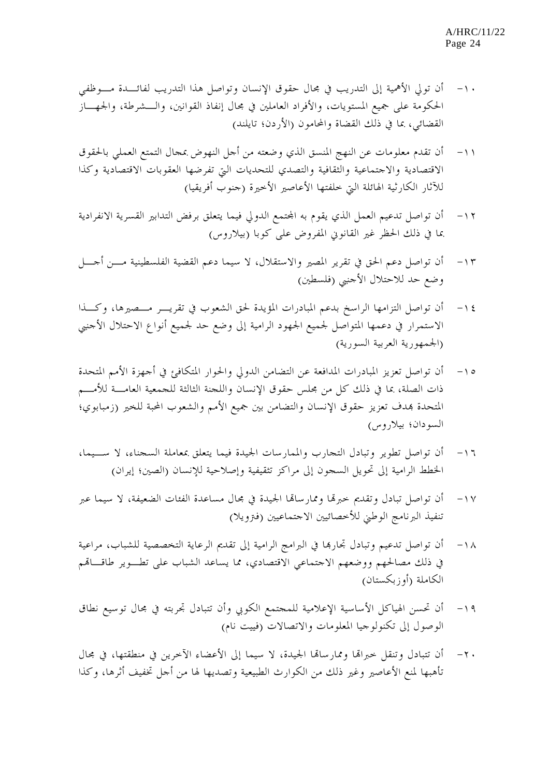- -١٠ أن تولي الأهمية إلى التدريب في مجال حقوق الإنسان وتواصل هذا التدريب لفائـدة مـوظفي الحكومة على جميع المستويات، والأفراد العاملين في مجال إنفاذ القوانين، والـشرطة، والجهـاز القضائي، بما في ذلك القضاة والمحامون (الأردن؛ تايلند)
- -١١ أن تقدم معلومات عن النهج المنسق الذي وضعته من أجل النهوض بمجال التمتع العملي بالحقوق الاقتصادية والاجتماعية والثقافية والتصدي للتحديات التي تفرضها العقوبات الاقتصادية وكذا للآثار الكارثية الهائلة التي خلفتها الأعاصير الأخيرة (جنوب أفريقيا)
- ١٢ أن تواصل تدعيم العمل الذي يقوم به المحتمع الدولي فيما يتعلق برفض التدابير القسرية الانفرادية بما في ذلك الحظر غير القانوني المفروض على كوبا (بيلاروس)
- -١٣ أن تواصل دعم الحق في تقرير المصير والاستقلال، لا سيما دعم القضية الفلسطينية مـن أجـل وضع حد للاحتلال الأجنبي (فلسطين)
- -١٤ أن تواصل التزامها الراسخ بدعم المبادرات المؤيدة لحق الشعوب في تقريـر مـصيرها، وكـذا الاستمرار في دعمها المتواصل لجميع الجهود الرامية إلى وضع حد لجميع أنواع الاحتلال الأجنبي (الجمهورية العربية السورية)
- -١٥ أن تواصل تعزيز المبادرات المدافعة عن التضامن الدولي والحوار المتكافئ في أجهزة الأمم المتحدة ذات الصلة، بما في ذلك كل من مجلس حقوق الإنسان واللجنة الثالثة للجمعية العامـة للأمـم المتحدة هبدف تعزيز حقوق الإنسان والتضامن بين جميع الأمم والشعوب المحبة للخير (زمبابوي؛ السودان؛ بيلاروس)
- -١٦ أن تواصل تطوير وتبادل التجارب والممارسات الجيدة فيما يتعلق بمعاملة السجناء، لا سـيما، الخطط الرامية إلى تحويل السجون إلى مراكز تثقيفية وإصلاحية للإنسان (الصين؛ إيران)
- -١٧ أن تواصل تبادل وتقديم خبرهتا وممارساهتا الجيدة في مجال مساعدة الفئات الضعيفة، لا سيما عبر تنفيذ البرنامج الوطني للأخصائيين الاجتماعيين (فترويلا)
- -١٨ أن تواصل تدعيم وتبادل تجارهبا في البرامج الرامية إلى تقديم الرعاية التخصصية للشباب، مراعية في ذلك مصالحهم ووضعهم الاجتماعي الاقتصادي، مما يساعد الشباب على تطـوير طاقـاهتم الكاملة (أوزبكستان)
- -١٩ أن تحسن الهياكل الأساسية الإعلامية للمجتمع الكوبي وأن تتبادل تجربته في مجال توسيع نطاق الوصول إلى تكنولوجيا المعلومات والاتصالات (فييت نام)
- -٢٠ أن تتبادل وتنقل خبراهتا وممارساهتا الجيدة، لا سيما إلى الأعضاء الآخرين في منطقتها، في مجال تأهبها لمنع الأعاصير وغير ذلك من الكوارث الطبيعية وتصديها لها من أجل تخفيف أثرها، وكذا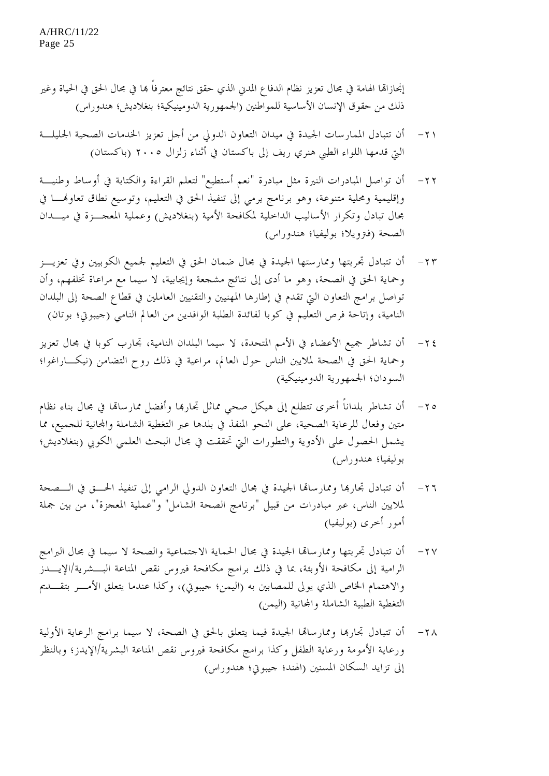إنجازاها الهامة في مجال تعزيز نظام الدفاع المدني الذي حقق نتائج معترفاً هما في مجال الحق في الحياة وغير ذلك من حقوق الإنسان الأساسية للمواطنين (الجمهورية الدومينيكية؛ بنغلاديش؛ هندوراس)

- -٢١ أن تتبادل الممارسات الجيدة في ميدان التعاون الدولي من أجل تعزيز الخدمات الصحية الجليلـة التي قدمها اللواء الطبي هنري ريف إلى باكستان في أثناء زلزال ٢٠٠٥ (باكستان)
- -٢٢ أن تواصل المبادرات النيرة مثل مبادرة "نعم أستطيع" لتعلم القراءة والكتابة في أوساط وطنيـة وإقليمية ومحلية متنوعة، وهو برنامج يرمي إلى تنفيذ الحق في التعليم، وتوسيع نطاق تعاوهنـا في مجال تبادل وتكرار الأساليب الداخلية لمكافحة الأمية (بنغلاديش) وعملية المعجـزة في ميـدان الصحة (فترويلا؛ بوليفيا؛ هندوراس)
- -٢٣ أن تتبادل تجربتها وممارستها الجيدة في مجال ضمان الحق في التعليم لجميع الكوبيين وفي تعزيـز وحماية الحق في الصحة، وهو ما أدى إلى نتائج مشجعة وإيجابية، لا سيما مع مراعاة تخلفهم، وأن تواصل برامج التعاون التي تقدم في إطارها المهنيين والتقنيين العاملين في قطاع الصحة إلى البلدان النامية، وإتاحة فرص التعليم في كوبا لفائدة الطلبة الوافدين من العالم النامي (جيبوتي؛ بوتان)
- -٢٤ أن تشاطر جميع الأعضاء في الأمم المتحدة، لا سيما البلدان النامية، تجارب كوبا في مجال تعزيز وحماية الحق في الصحة لملايين الناس حول العالم، مراعية في ذلك روح التضامن (نيكـاراغوا؛ السودان؛ الجمهورية الدومينيكية)
- -٢٥ أن تشاطر بلداناً أخرى تتطلع إلى هيكل صحي مماثل تجارهبا وأفضل ممارساهتا في مجال بناء نظام متين وفعال للرعاية الصحية، على النحو المنفذ في بلدها عبر التغطية الشاملة واجملانية للجميع، مما يشمل الحصول على الأدوية والتطورات التي تحققت في مجال البحث العلمي الكوبي (بنغلاديش؛ بوليفيا؛ هندوراس)
- -٢٦ أن تتبادل تجارهبا وممارساهتا الجيدة في مجال التعاون الدولي الرامي إلى تنفيذ الحـق في الـصحة لملايين الناس، عبر مبادرات من قبيل "برنامج الصحة الشامل" و"عملية المعجزة"، من بين جملة أمور أخرى (بوليفيا)
- -٢٧ أن تتبادل تجربتها وممارساهتا الجيدة في مجال الحماية الاجتماعية والصحة لا سيما في مجال البرامج الرامية إلى مكافحة الأوبئة، بما في ذلك برامج مكافحة فيروس نقص المناعة البـــشرية/الإيــــدز والاهتمام الخاص الذي يولى للمصابين به (اليمن؛ جيبوتي)، وكذا عندما يتعلق الأمـر بتقـديم التغطية الطبية الشاملة واجملانية (اليمن)
- -٢٨ أن تتبادل تجارهبا وممارساهتا الجيدة فيما يتعلق بالحق في الصحة، لا سيما برامج الرعاية الأولية ورعاية الأمومة ورعاية الطفل وكذا برامج مكافحة فيروس نقص المناعة البشرية/الإيدز؛ وبالنظر إلى تزايد السكان المسنين (الهند؛ جيبوتي؛ هندوراس)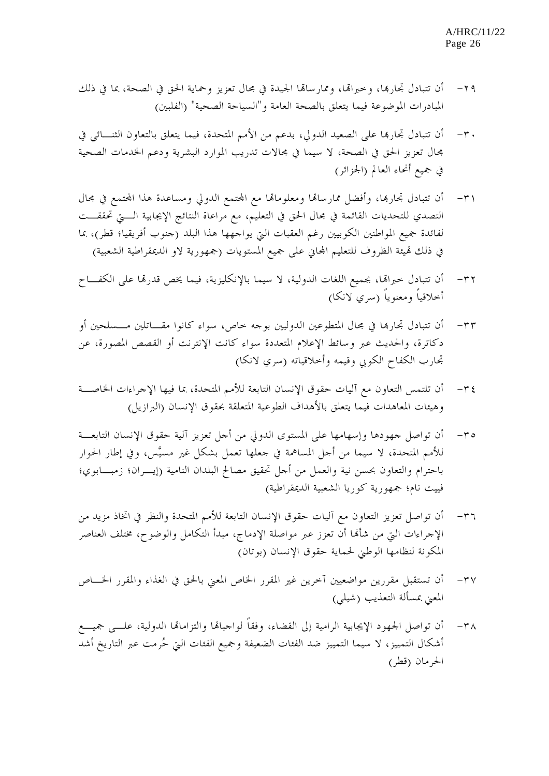- -٢٩ أن تتبادل تجارهبا، وخبراهتا، وممارساهتا الجيدة في مجال تعزيز وحماية الحق في الصحة، بما في ذلك المبادرات الموضوعة فيما يتعلق بالصحة العامة و"السياحة الصحية" (الفلبين)
- -٣٠ أن تتبادل تجارهبا على الصعيد الدولي، بدعم من الأمم المتحدة، فيما يتعلق بالتعاون الثنـائي في مجال تعزيز الحق في الصحة، لا سيما في مجالات تدريب الموارد البشرية ودعم الخدمات الصحية في جميع أنحاء العالم (الجزائر)
- ٣١ أن تتبادل تجارها، وأفضل ممارساها ومعلوماها مع الجتمع الدولي ومساعدة هذا الجتمع في مجال التصدي للتحديات القائمة في مجال الحق في التعليم، مع مراعاة النتائج الإيجابية الـتي تحققـت لفائدة جميع المواطنين الكوبيين رغم العقبات التي يواجهها هذا البلد (جنوب أفريقيا؛ قطر)، بما في ذلك قميئة الظروف للتعليم المحاني على جميع المستويات (جمهورية لاو الديمقراطية الشعبية)
- -٣٢ أن تتبادل خبراهتا، بجميع اللغات الدولية، لا سيما بالإنكليزية، فيما يخص قدرهتا على الكفـاح أخلاقياً ومعنوياً (سري لانكا)
- -٣٣ أن تتبادل تجارهبا في مجال المتطوعين الدوليين بوجه خاص، سواء كانوا مقـاتلين مـسلحين أو دكاترة، والحديث عبر وسائط الإعلام المتعددة سواء كانت الإنترنت أو القصص المصورة، عن تجارب الكفاح الكوبي وقيمه وأخلاقياته (سري لانكا)
- -٣٤ أن تلتمس التعاون مع آليات حقوق الإنسان التابعة للأمم المتحدة، بما فيها الإجراءات الخاصـة وهيئات المعاهدات فيما يتعلق بالأهداف الطوعية المتعلقة بحقوق الإنسان (البرازيل)
- -٣٥ أن تواصل جهودها وإسهامها على المستوى الدولي من أجل تعزيز آلية حقوق الإنسان التابعـة للأمم المتحدة، لا سيما من أحل المساهمة في جعلها تعمل بشكل غير مسيَّس، وفي إطار الحوار باحترام والتعاون بحسن نية والعمل من أجل تحقيق مصالح البلدان النامية (إيـران؛ زمبـابوي؛ فييت نام؛ جمهورية كوريا الشعبية الديمقراطية)
- -٣٦ أن تواصل تعزيز التعاون مع آليات حقوق الإنسان التابعة للأمم المتحدة والنظر في اتخاذ مزيد من الإجراءات التي من شأهنا أن تعزز عبر مواصلة الإدماج، مبدأ التكامل والوضوح، مختلف العناصر المكونة لنظامها الوطني لحماية حقوق الإنسان (بوتان)
- -٣٧ أن تستقبل مقررين مواضعيين آخرين غير المقرر الخاص المعني بالحق في الغذاء والمقرر الخـاص المعني بمسألة التعذيب (شيلي)
- ٣٨ أن تواصل الجهود الإيجابية الرامية إلى القضاء، وفقاً لواجباهّا والتزاماهّا الدولية، علـــى جميـــع أشكال التمييز، لا سيما التمييز ضد الفئات الضعيفة وجميع الفئات التي حُرمت عبر التاريخ أشد الحرمان (قطر)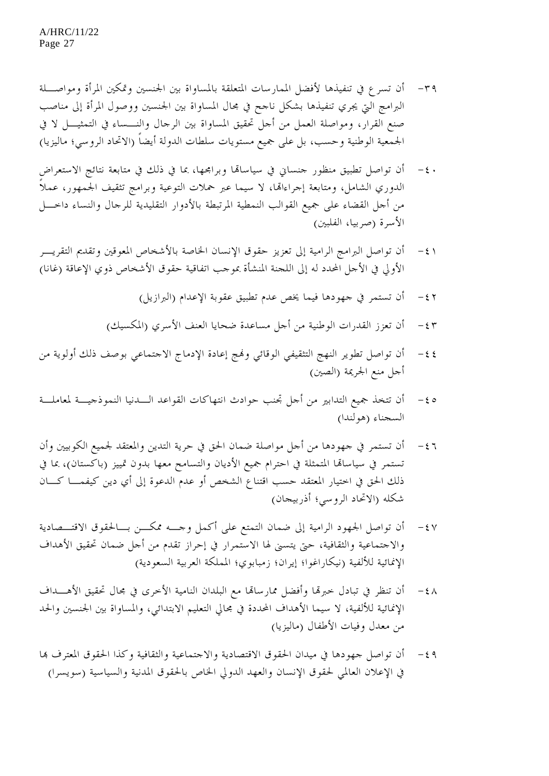- ٣٩ أن تسرع في تنفيذها لأفضل الممارسات المتعلقة بالمساواة بين الجنسين وتمكين المرأة ومواصــلة البرامج التي يجري تنفيذها بشكل ناجح في مجال المساواة بين الجنسين ووصول المرأة إلى مناصب صنع القرار، ومواصلة العمل من أجل تحقيق المساواة بين الرجال والنـساء في التمثيـل لا في الجمعية الوطنية وحسب، بل على جميع مستويات سلطات الدولة أيضاً (الاتحاد الروسي؛ ماليزيا)
- -٤٠ أن تواصل تطبيق منظور جنساني في سياساهتا وبرامجها، بما في ذلك في متابعة نتائج الاستعراض الدوري الشامل، ومتابعة إجراءاهتا، لا سيما عبر حملات التوعية وبرامج تثقيف الجمهور، عملاً من أجل القضاء على جميع القوالب النمطية المرتبطة بالأدوار التقليدية للرجال والنساء داخـل الأسرة (صربيا، الفلبين)
- -٤١ أن تواصل البرامج الرامية إلى تعزيز حقوق الإنسان الخاصة بالأشخاص المعوقين وتقديم التقريـر الأولي في الأجل المحدد له إلى اللجنة المنشأة بموجب اتفاقية حقوق الأشخاص ذوي الإعاقة (غانا)
	- -٤٢ أن تستمر في جهودها فيما يخص عدم تطبيق عقوبة الإعدام (البرازيل)
	- -٤٣ أن تعزز القدرات الوطنية من أجل مساعدة ضحايا العنف الأسري (المكسيك)
- -٤٤ أن تواصل تطوير النهج التثقيفي الوقائي وهنج إعادة الإدماج الاجتماعي بوصف ذلك أولوية من أجل منع الجريمة (الصين)
- -٤٥ أن تتخذ جميع التدابير من أجل تجنب حوادث انتهاكات القواعد الـدنيا الن موذجيـة لمعاملـة السجناء (هولندا)
- -٤٦ أن تستمر في جهودها من أجل مواصلة ضمان الحق في حرية التدين والمعتقد لجميع الكوبيين وأن تستمر في سياساهتا المتمثلة في احترام جميع الأديان والتسامح معها بدون تمييز (باكستان)، بما في ذلك الحق في اختيار المعتقد حسب اقتناع الشخص أو عدم الدعوة إلى أي دين كيفمـا كـان شكله (الاتحاد الروسي؛ أذربيجان)
- -٤٧ أن تواصل الجهود الرامية إلى ضمان التمتع على أكمل وجـه ممكـن بـالحقوق الاقتـصادية والاجتماعية والثقافية، حتى يتسنى لها الاستمرار في إحراز تقدم من أجل ضمان تحقيق الأهداف الإنمائية للألفية (نيكاراغوا؛ إيران؛ زمبابوي؛ المملكة العربية السعودية)
- -٤٨ أن تنظر في تبادل خبرهتا وأفضل ممارساهتا مع البلدان النامية الأخرى في مجال تحقيق الأهـداف الإنمائية للألفية، لا سيما الأهداف المحددة في مجالي التعليم الابتدائي، والمساواة بين الجنسين والحد من معدل وفيات الأطفال (ماليزيا)
- -٤٩ أن تواصل جهودها في ميدان الحقوق الاقتصادية والاجتماعية والثقافية وكذا الحقوق المعترف هبا في الإعلان العالمي لحقوق الإنسان والعهد الدولي الخاص بالحقوق المدنية والسياسية (سويسرا)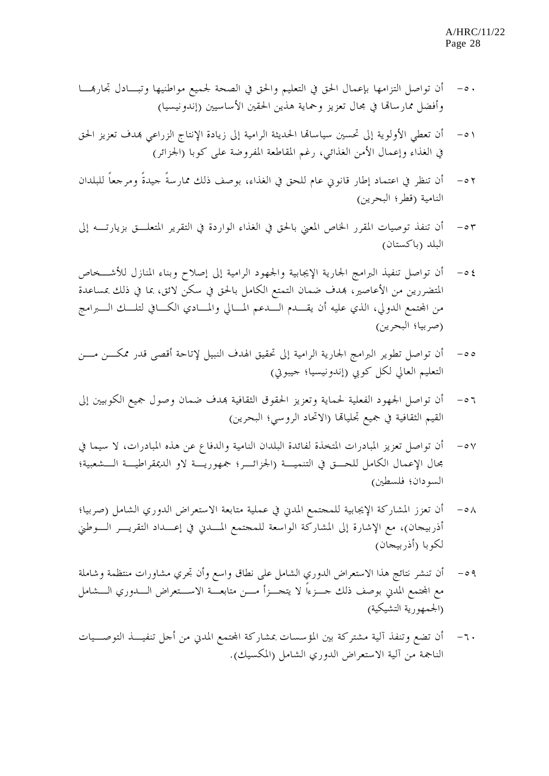- -٥٠ أن تواصل التزامها بإعمال الحق في التعليم والحق في الصحة لجميع مواطنيها وتبـادل تجارهبـا وأفضل ممارساهتا في مجال تعزيز وحماية هذين الحقين الأساسيين (إندونيسيا)
- -٥١ أن تعطي الأولوية إلى تحسين سياساهتا الحديثة الرامية إلى زيادة الإنتاج الزراعي هبدف تعزيز الحق في الغذاء وإعمال الأمن الغذائي، رغم المقاطعة المفروضة على كوبا (الجزائر)
- -٥٢ أن تنظر في اعتماد إطار قانوني عام للحق في الغذاء، بوصف ذلك ممارسةً جيدةً ومرجعاً للبلدان النامية (قطر؛ البحرين)
- -٥٣ أن تنفذ توصيات المقرر الخاص المعني بالحق في الغذاء الواردة في التقرير المتعلـق بزيارتـه إلى البلد (باكستان)
- -٥٤ أن تواصل تنفيذ البرامج الجارية الإيجابية والجهود الرامية إلى إصلاح وبناء المنازل للأشـخاص المتضررين من الأعاصير، هبدف ضمان التمتع الكامل بالحق في سكن لائق، بما في ذلك بمساعدة من المحتمع الدولي، الذي عليه أن يقـــدم الــــدعم المــــالي والمــــادي الكـــافي لتلــــك الـــــبرامج (صربيا؛ البحرين)
- -٥٥ أن تواصل تطوير البرامج الجارية الرامية إلى تحقيق الهدف النبيل لإتاحة أقصى قدر ممكـن مـن التعليم العالي لكل كوبي (إندونيسيا؛ جيبوتي)
- -٥٦ أن تواصل الجهود الفعلية لحماية وتعزيز الحقوق الثقافية هبدف ضمان وصول جميع الكوبيين إلى القيم الثقافية في جميع تجلياهتا (الاتحاد الروسي؛ البحرين)
- -٥٧ أن تواصل تعزيز المبادرات المتخذة لفائدة البلدان النامية والدفاع عن هذه المبادرات، لا سيما في مجال الإعمال الكامل للحـق في التنميـة (الجزائـر؛ جمهوريـة لاو الديمقراطيـة الـشعبية؛ السودان؛ فلسطين)
- -٥٨ أن تعزز المشاركة الإيجابية للمجتمع المدني في عملية متابعة الاستعراض الدوري الشامل (صربيا؛ أذربيجان)، مع الإشارة إلى المشاركة الواسعة للمجتمع المـدني في إعـداد التقريـر الـوطني لكوبا (أذربيجان)
- -٥٩ أن تنشر نتائج هذا الاستعراض الدوري الشامل على نطاق واسع وأن تجري مشاورات منتظمة وشاملة مع المجتمع المدني بوصف ذلك حــزءاً لا يتجـــزأ مـــن متابعـــة الاســـتعراض الــــدوري الــــشامل (الجمهورية التشيكية)
- -٦٠ أن تضع وتنفذ آلية مشتركة بين المؤسسات بمشاركة اجملتمع المدني من أجل تنفيـذ التوصـيات الناجمة من آلية الاستعراض الدوري الشامل (المكسيك).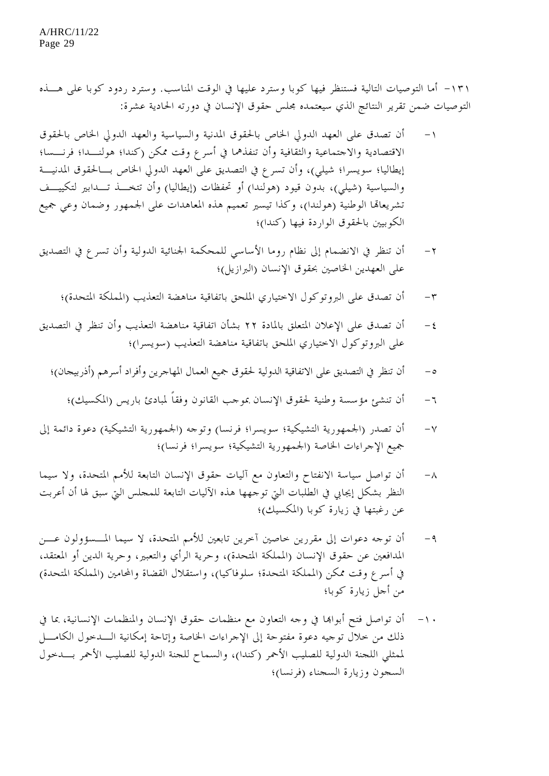-١٣١ أما التوصيات التالية فستنظر فيها كوبا وسترد عليها في الوقت المناسب . وسترد ردود كوبا على هـذه التوصيات ضمن تقرير النتائج الذي سيعتمده مجلس حقوق الإنسان في دورته الحادية عشرة:

- -١ أن تصدق على العهد الدولي الخاص بالحقوق المدنية والسياسية والعهد الدولي الخاص بالحقوق الاقتصادية والاجتماعية والثقافية وأن تنفذهما في أسرع وقت ممكن (كندا؛ هولنـدا؛ فرنـسا؛ إيطاليا؛ سويسرا؛ شيلي)، وأن تسرع في التصديق على العهد الدولي الخاص بـالحقوق المدنيـة والسياسية (شيلي)، بدون قيود (هولندا) أو تحفظات (إيطاليا) وأن تتخـذ تـدابير لتكييـف تشريعاهتا الوطنية (هولندا)، وكذا تيسير تعميم هذه المعاهدات على الجمهور وضمان وعي جميع الكوبيين بالحقوق الواردة فيها (كندا)؛
- -٢ أن تنظر في الانضمام إلى نظام روما الأساسي للمحكمة الجنائية الدولية وأن تسرع في التصديق على العهدين الخاصين بحقوق الإنسان (البرازيل)؛
	- -٣ أن تصدق على البروتوكول الاختياري الملحق باتفاقية مناهضة التعذيب (المملكة المتحدة)؛
- -٤ أن تصدق على الإعلان المتعلق بالمادة ٢٢ بشأن اتفاقية مناهضة التعذيب وأن تنظر في التصديق على البروتوكول الاختياري الملحق باتفاقية مناهضة التعذيب (سويسرا)؛
	- -٥ أن تنظر في التصديق على الاتفاقية الدولية لحقوق جميع العمال المهاجرين وأفراد أسرهم (أذربيجان)؛
		- -٦ أن تنشئ مؤسسة وطنية لحقوق الإنسان بموجب القانون وفقاً لمبادئ باريس (المكسيك)؛
- -٧ أن تصدر (الجمهورية التشيكية؛ سويسرا؛ فرنسا) وتوجه (الجمهورية التشيكية) دعوة دائمة إلى جميع الإجراءات الخاصة (الجمهورية التشيكية؛ سويسرا؛ فرنسا)؛
- -٨ أن تواصل سياسة الانفتاح والتعاون مع آليات حقوق الإنسان التابعة للأمم المتحدة، ولا سيما النظر بشكل إيجابي في الطلبات التي توجهها هذه الآليات التابعة للمجلس التي سبق لها أن أعربت عن رغبتها في زيارة كوبا (المكسيك)؛
- -٩ أن توجه دعوات إلى مقررين خاصين آخرين تابعين للأمم المتحدة، لا سيما المـسؤولون عـن المدافعين عن حقوق الإنسان (المملكة المتحدة)، وحرية الرأي والتعبير، وحرية الدين أو المعتقد، في أسرع وقت ممكن (المملكة المتحدة؛ سلوفاكيا)، واستقلال القضاة والمحامين (المملكة المتحدة) من أجل زيارة كوبا؛
- -١٠ أن تواصل فتح أبواهبا في وجه التعاون مع منظمات حقوق الإنسان والمنظمات الإنسانية، بما في ذلك من خلال توجيه دعوة مفتوحة إلى الإجراءات الخاصة وإتاحة إمكانية الـدخول الكامـل لممثلي اللجنة الدولية للصليب الأحمر (كندا)، والسماح للجنة الدولية للصليب الأحمر بـدخول السجون وزيارة السجناء (فرنسا)؛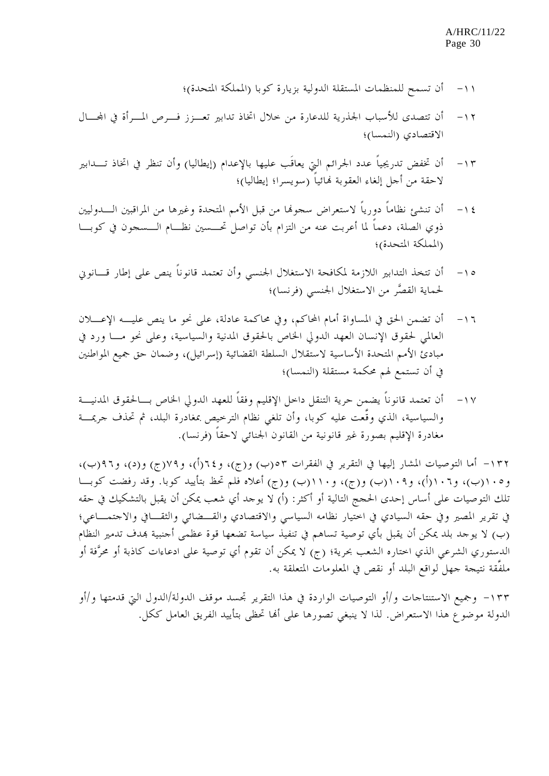- -١١ أن تسمح للمنظمات المستقلة الدولية بزيارة كوبا (المملكة المتحدة)؛
- -١٢ أن تتصدى للأسباب الجذرية للدعارة من خلال اتخاذ تدابير تعـزز فـرص المـرأة في اجملـال الاقتصادي (النمسا)؛
- -١٣ أن تخفض تدريجياً عدد الجرائم التي يعاقَب عليها بالإعدام (إيطاليا) وأن تنظر في اتخاذ تـدابير لاحقة من أجل إلغاء العقوبة هنائياً (سويسرا؛ إيطاليا)؛
- -١٤ أن تنشئ نظاماً دورياً لاستعراض سجوهنا من قبل الأمم المتحدة وغيرها من المراقبين الـدوليين ذوي الصلة، دعماً لما أعربت عنه من التزام بأن تواصل تحـسين نظـام الـسجون في كوبـا (المملكة المتحدة)؛
- -١٥ أن تتخذ التدابير اللازمة لمكافحة الاستغلال الجنسي وأن تعتمد قانوناً ينص على إطار قـانوني لحماية القصَّر من الاستغلال الجنسي (فرنسا)؛
- -١٦ أن تضمن الحق في المساواة أمام المحاكم، وفي محاكمة عادلة، على نحو ما ينص عليـه الإعـلان العالمي لحقوق الإنسان العهد الدولي الخاص بالحقوق المدنية والسياسية، وعلى نحو مـا ورد في مبادئ الأمم المتحدة الأساسية لاستقلال السلطة القضائية (إسرائيل)، وضمان حق جميع المواطنين في أن تستمع لهم محكمة مستقلة (النمسا)؛
- -١٧ أن تعتمد قانوناً يضمن حرية التنقل داخل الإقليم وفقاً للعهد الدولي الخاص بـالحقوق المدنيـة والسياسية، الذي وقَّعت عليه كوبا، وأن تلغي نظام الترخيص بمغادرة البلد، ثم تحذف جريمـة مغادرة الإقليم بصورة غير قانونية من القانون الجنائي لاحقاً (فرنسا).

-١٣٢ أما التوصيات المشار إليها في التقرير في الفقرات ٥٣(ب) و(ج)، و٦٤(أ)، و٧٩(ج) و(د)، و٩٦(ب)، و١٠٥(ب)، و١٠٦(أ)، و١٠٩(ب) و(ج)، و١١٠(ب) و(ج) أعلاه فلم تحظ بتأييد كوبا. وقد رفضت كوبـا تلك التوصيات على أساس إحدى الحجج التالية أو أكثر: (أ) لا يوجد أي شعب يمكن أن يقبل بالتشكيك في حقه في تقرير المصير وفي حقه السيادي في اختيار نظامه السياسي والاقتصادي والقـضائي والثقـافي والاجتمـاعي؛ (ب) لا يوجد بلد يمكن أن يقبل بأي توصية تساهم في تنفيذ سياسة تضعها قوة عظمى أجنبية هبدف تدمير النظام الدستوري الشرعي الذي اختاره الشعب بحرية؛ (ج) لا يمكن أن تقوم أي توصية على ادعاءات كاذبة أو محرَّفة أو ملفَّقة نتيجة جهل لواقع البلد أو نقص في المعلومات المتعلقة به.

-١٣٣ وجميع الاستنتاجات و/أو التوصيات الواردة في هذا التقرير تجسد موقف الدولة/الدول التي قدمتها و/أو الدولة موضوع هذا الاستعراض. لذا لا ينبغي تصورها على أهنا تحظى بتأييد الفريق العامل ككل.